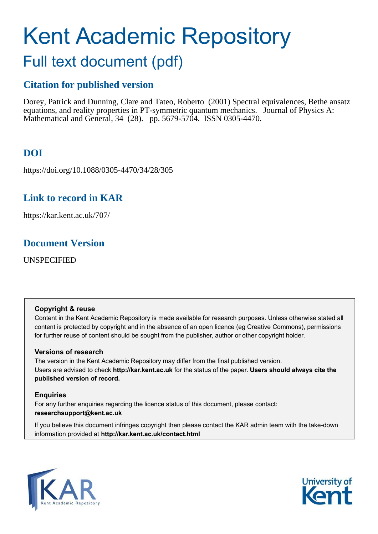# <span id="page-0-0"></span>Kent Academic Repository

## Full text document (pdf)

## **Citation for published version**

Dorey, Patrick and Dunning, Clare and Tateo, Roberto (2001) Spectral equivalences, Bethe ansatz equations, and reality properties in PT-symmetric quantum mechanics. Journal of Physics A: Mathematical and General, 34 (28). pp. 5679-5704. ISSN 0305-4470.

## **DOI**

https://doi.org/10.1088/0305-4470/34/28/305

## **Link to record in KAR**

https://kar.kent.ac.uk/707/

## **Document Version**

UNSPECIFIED

#### **Copyright & reuse**

Content in the Kent Academic Repository is made available for research purposes. Unless otherwise stated all content is protected by copyright and in the absence of an open licence (eg Creative Commons), permissions for further reuse of content should be sought from the publisher, author or other copyright holder.

#### **Versions of research**

The version in the Kent Academic Repository may differ from the final published version. Users are advised to check **http://kar.kent.ac.uk** for the status of the paper. **Users should always cite the published version of record.**

#### **Enquiries**

For any further enquiries regarding the licence status of this document, please contact: **researchsupport@kent.ac.uk**

If you believe this document infringes copyright then please contact the KAR admin team with the take-down information provided at **http://kar.kent.ac.uk/contact.html**



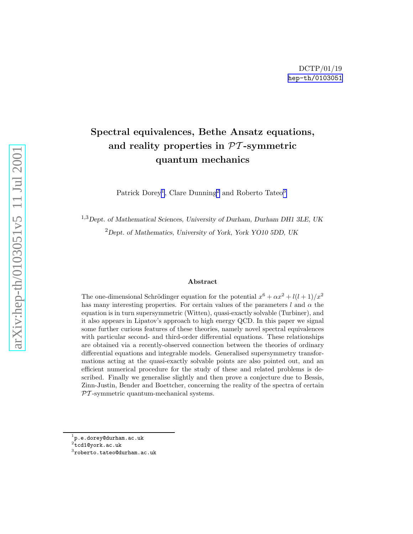## <span id="page-1-0"></span>Spectral equivalences, Bethe Ansatz equations, and reality properties in  $PT$ -symmetric quantum mechanics

Patrick Dorey<sup>[1](#page-0-0)</sup>, Clare Dunning<sup>[2](#page-0-0)</sup> and Roberto Tateo<sup>[3](#page-0-0)</sup>

<sup>1,3</sup>Dept. of Mathematical Sciences, University of Durham, Durham DH1 3LE, UK  $^{2}$ Dept. of Mathematics, University of York, York YO10 5DD, UK

#### Abstract

The one-dimensional Schrödinger equation for the potential  $x^6 + \alpha x^2 + l(l+1)/x^2$ has many interesting properties. For certain values of the parameters l and  $\alpha$  the equation is in turn supersymmetric (Witten), quasi-exactly solvable (Turbiner), and it also appears in Lipatov's approach to high energy QCD. In this paper we signal some further curious features of these theories, namely novel spectral equivalences with particular second- and third-order differential equations. These relationships are obtained via a recently-observed connection between the theories of ordinary differential equations and integrable models. Generalised supersymmetry transformations acting at the quasi-exactly solvable points are also pointed out, and an efficient numerical procedure for the study of these and related problems is described. Finally we generalise slightly and then prove a conjecture due to Bessis, Zinn-Justin, Bender and Boettcher, concerning the reality of the spectra of certain  $PT$ -symmetric quantum-mechanical systems.

<sup>&</sup>lt;sup>1</sup>p.e.dorey@durham.ac.uk<br><sup>2</sup>tcd1@york.ac.uk

 $^3$ roberto.tateo@durham.ac.uk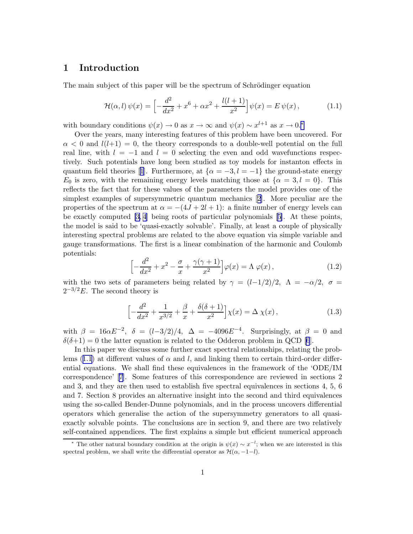#### <span id="page-2-0"></span>1 Introduction

The main subject of this paper will be the spectrum of Schrödinger equation

$$
\mathcal{H}(\alpha, l)\,\psi(x) = \left[ -\frac{d^2}{dx^2} + x^6 + \alpha x^2 + \frac{l(l+1)}{x^2} \right] \psi(x) = E\,\psi(x)\,,\tag{1.1}
$$

with boundary conditions  $\psi(x) \to 0$  as  $x \to \infty$  and  $\psi(x) \sim x^{l+1}$  as  $x \to 0$ .<sup>\*</sup>

Over the years, many interesting features of this problem have been uncovered. For  $\alpha < 0$  and  $l(l+1) = 0$ , the theory corresponds to a double-well potential on the full real line, with  $l = -1$  and  $l = 0$  selecting the even and odd wavefunctions respectively. Such potentials have long been studied as toy models for instanton effects in quantumfield theories [[1](#page-28-0)]. Furthermore, at  $\{\alpha = -3, l = -1\}$  the ground-state energy  $E_0$  is zero, with the remaining energy levels matching those at  $\{\alpha = 3, l = 0\}$ . This reflects the fact that for these values of the parameters the model provides one of the simplest examples of supersymmetric quantum mechanics[[2](#page-28-0)]. More peculiar are the properties of the spectrum at  $\alpha = -(4J + 2l + 1)$ : a finite number of energy levels can be exactly computed [\[3, 4](#page-28-0)] being roots of particular polynomials[[5](#page-28-0)]. At these points, the model is said to be 'quasi-exactly solvable'. Finally, at least a couple of physically interesting spectral problems are related to the above equation via simple variable and gauge transformations. The first is a linear combination of the harmonic and Coulomb potentials:

$$
\left[-\frac{d^2}{dx^2} + x^2 - \frac{\sigma}{x} + \frac{\gamma(\gamma + 1)}{x^2}\right]\varphi(x) = \Lambda \varphi(x),\tag{1.2}
$$

with the two sets of parameters being related by  $\gamma = (l-1/2)/2$ ,  $\Lambda = -\alpha/2$ ,  $\sigma =$  $2^{-3/2}E$ . The second theory is

$$
\left[ -\frac{d^2}{dx^2} + \frac{1}{x^{3/2}} + \frac{\beta}{x} + \frac{\delta(\delta + 1)}{x^2} \right] \chi(x) = \Delta \chi(x) , \qquad (1.3)
$$

with  $\beta = 16\alpha E^{-2}$ ,  $\delta = (l-3/2)/4$ ,  $\Delta = -4096E^{-4}$ . Surprisingly, at  $\beta = 0$  and  $\delta(\delta+1) = 0$  the latter equation is related to the Odderon problem in QCD [\[6](#page-29-0)].

In this paper we discuss some further exact spectral relationships, relating the prob-lems([1.1](#page-1-0)) at different values of  $\alpha$  and l, and linking them to certain third-order differential equations. We shall find these equivalences in the framework of the 'ODE/IM correspondence'[[7](#page-29-0)]. Some features of this correspondence are reviewed in sections 2 and 3, and they are then used to establish five spectral equivalences in sections 4, 5, 6 and 7. Section 8 provides an alternative insight into the second and third equivalences using the so-called Bender-Dunne polynomials, and in the process uncovers differential operators which generalise the action of the supersymmetry generators to all quasiexactly solvable points. The conclusions are in section 9, and there are two relatively self-contained appendices. The first explains a simple but efficient numerical approach

<sup>&</sup>lt;sup>\*</sup> The other natural boundary condition at the origin is  $\psi(x) \sim x^{-l}$ ; when we are interested in this spectral problem, we shall write the differential operator as  $\mathcal{H}(\alpha, -1-l)$ .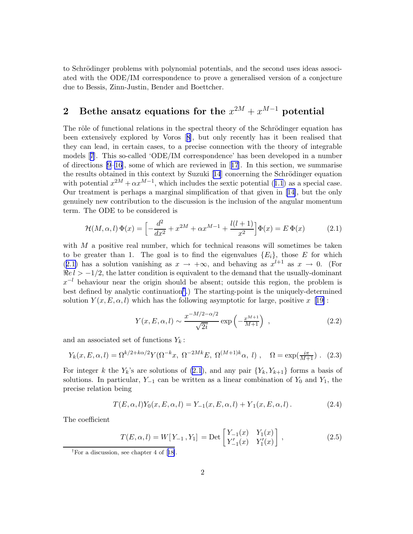<span id="page-3-0"></span>to Schrödinger problems with polynomial potentials, and the second uses ideas associated with the ODE/IM correspondence to prove a generalised version of a conjecture due to Bessis, Zinn-Justin, Bender and Boettcher.

### 2 Bethe ansatz equations for the  $x^{2M} + x^{M-1}$  potential

The rôle of functional relations in the spectral theory of the Schrödinger equation has been extensively explored by Voros[[8](#page-29-0)], but only recently has it been realised that they can lead, in certain cases, to a precise connection with the theory of integrable models[[7](#page-29-0)]. This so-called 'ODE/IM correspondence' has been developed in a number of directions [\[9–16](#page-29-0)], some of which are reviewed in[[17](#page-29-0)]. In this section, we summarise theresults obtained in this context by Suzuki [[14](#page-29-0)] concerning the Schrödinger equation withpotential  $x^{2M} + \alpha x^{M-1}$ , which includes the sextic potential ([1.1](#page-1-0)) as a special case. Our treatment is perhaps a marginal simplification of that given in [\[14\]](#page-29-0), but the only genuinely new contribution to the discussion is the inclusion of the angular momentum term. The ODE to be considered is

$$
\mathcal{H}(M,\alpha,l)\,\Phi(x) = \left[ -\frac{d^2}{dx^2} + x^{2M} + \alpha x^{M-1} + \frac{l(l+1)}{x^2} \right] \Phi(x) = E \,\Phi(x) \tag{2.1}
$$

with  $M$  a positive real number, which for technical reasons will sometimes be taken to be greater than 1. The goal is to find the eigenvalues  ${E_i}$ , those E for which ([2.1\)](#page-2-0) has a solution vanishing as  $x \to +\infty$ , and behaving as  $x^{l+1}$  as  $x \to 0$ . (For  $\Re e l > -1/2$ , the latter condition is equivalent to the demand that the usually-dominant  $x^{-l}$  behaviour near the origin should be absent; outside this region, the problem is best defined by analytic continuation[†](#page-2-0) .) The starting-point is the uniquely-determined solution  $Y(x, E, \alpha, l)$  which has the following asymptotic for large, positive x [[19\]](#page-29-0):

$$
Y(x, E, \alpha, l) \sim \frac{x^{-M/2 - \alpha/2}}{\sqrt{2i}} \exp\left(-\frac{x^{M+1}}{M+1}\right) ,
$$
 (2.2)

and an associated set of functions  $Y_k$ :

$$
Y_k(x, E, \alpha, l) = \Omega^{k/2 + k\alpha/2} Y(\Omega^{-k} x, \ \Omega^{-2Mk} E, \ \Omega^{(M+1)k} \alpha, \ l), \quad \Omega = \exp(\frac{i\pi}{M+1}). \tag{2.3}
$$

For integer k the  $Y_k$ 's are solutions of [\(2.1](#page-2-0)), and any pair  $\{Y_k, Y_{k+1}\}\$ forms a basis of solutions. In particular,  $Y_{-1}$  can be written as a linear combination of  $Y_0$  and  $Y_1$ , the precise relation being

$$
T(E, \alpha, l)Y_0(x, E, \alpha, l) = Y_{-1}(x, E, \alpha, l) + Y_1(x, E, \alpha, l).
$$
 (2.4)

The coefficient

$$
T(E, \alpha, l) = W[Y_{-1}, Y_1] = \text{Det}\begin{bmatrix} Y_{-1}(x) & Y_1(x) \\ Y'_{-1}(x) & Y'_1(x) \end{bmatrix},
$$
\n(2.5)

<sup>†</sup>For a discussion, see chapter 4 of[[18\]](#page-29-0).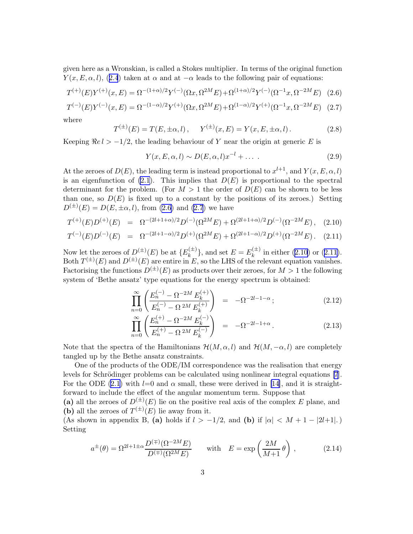<span id="page-4-0"></span>given here as a Wronskian, is called a Stokes multiplier. In terms of the original function  $Y(x, E, \alpha, l)$  $Y(x, E, \alpha, l)$  $Y(x, E, \alpha, l)$ , ([2.4](#page-2-0)) taken at  $\alpha$  and at  $-\alpha$  leads to the following pair of equations:

$$
T^{(+)}(E)Y^{(+)}(x,E) = \Omega^{-(1+\alpha)/2}Y^{(-)}(\Omega x, \Omega^{2M}E) + \Omega^{(1+\alpha)/2}Y^{(-)}(\Omega^{-1}x, \Omega^{-2M}E) \tag{2.6}
$$

$$
T^{(-)}(E)Y^{(-)}(x,E) = \Omega^{-(1-\alpha)/2}Y^{(+)}(\Omega x, \Omega^{2M}E) + \Omega^{(1-\alpha)/2}Y^{(+)}(\Omega^{-1}x, \Omega^{-2M}E) \tag{2.7}
$$

where

$$
T^{(\pm)}(E) = T(E, \pm \alpha, l), \quad Y^{(\pm)}(x, E) = Y(x, E, \pm \alpha, l). \tag{2.8}
$$

Keeping  $\Re e l > -1/2$ , the leading behaviour of Y near the origin at generic E is

$$
Y(x, E, \alpha, l) \sim D(E, \alpha, l)x^{-l} + \dots
$$
 (2.9)

At the zeroes of  $D(E)$ , the leading term is instead proportional to  $x^{l+1}$ , and  $Y(x, E, \alpha, l)$ is an eigenfunction of  $(2.1)$ . This implies that  $D(E)$  is proportional to the spectral determinant for the problem. (For  $M > 1$  the order of  $D(E)$  can be shown to be less than one, so  $D(E)$  is fixed up to a constant by the positions of its zeroes.) Setting  $D^{(\pm)}(E) = D(E, \pm \alpha, l)$ , from [\(2.6\)](#page-3-0) and [\(2.7](#page-3-0)) we have

$$
T^{(+)}(E)D^{(+)}(E) = \Omega^{-(2l+1+\alpha)/2}D^{(-)}(\Omega^{2M}E) + \Omega^{(2l+1+\alpha)/2}D^{(-)}(\Omega^{-2M}E), \quad (2.10)
$$

$$
T^{(-)}(E)D^{(-)}(E) = \Omega^{-(2l+1-\alpha)/2}D^{(+)}(\Omega^{2M}E) + \Omega^{(2l+1-\alpha)/2}D^{(+)}(\Omega^{-2M}E). \quad (2.11)
$$

Now let the zeroes of  $D^{(\pm)}(E)$  be at  ${E_k^{(\pm)}}$  ${k(\pm)}$ , and set  $E = E_{k}^{(\pm)}$  $\binom{n}{k}$  in either [\(2.10](#page-3-0))or ([2.11\)](#page-3-0). Both  $T^{(\pm)}(E)$  and  $D^{(\pm)}(E)$  are entire in E, so the LHS of the relevant equation vanishes. Factorising the functions  $D^{(\pm)}(E)$  as products over their zeroes, for  $M > 1$  the following system of 'Bethe ansatz' type equations for the energy spectrum is obtained:

$$
\prod_{n=0}^{\infty} \left( \frac{E_n^{(-)} - \Omega^{-2M} E_k^{(+)}}{E_n^{(-)} - \Omega^{2M} E_k^{(+)}} \right) = -\Omega^{-2l-1-\alpha};
$$
\n(2.12)

$$
\prod_{n=0}^{\infty} \left( \frac{E_n^{(+)} - \Omega^{-2M} E_k^{(-)}}{E_n^{(+)} - \Omega^{2M} E_k^{(-)}} \right) = -\Omega^{-2l-1+\alpha}.
$$
\n(2.13)

Note that the spectra of the Hamiltonians  $\mathcal{H}(M,\alpha,l)$  and  $\mathcal{H}(M,-\alpha,l)$  are completely tangled up by the Bethe ansatz constraints.

One of the products of the ODE/IM correspondence was the realisation that energy levelsfor Schrödinger problems can be calculated using nonlinear integral equations [[7](#page-29-0)]. For the ODE [\(2.1\)](#page-2-0) with  $l=0$  and  $\alpha$  small, these were derived in [\[14\]](#page-29-0), and it is straightforward to include the effect of the angular momentum term. Suppose that

(a) all the zeroes of  $D^{(\pm)}(E)$  lie on the positive real axis of the complex E plane, and (b) all the zeroes of  $T^{(\pm)}(E)$  lie away from it.

(As shown in appendix B, (a) holds if  $l > -1/2$ , and (b) if  $|\alpha| < M + 1 - |2l+1|$ . Setting

$$
a^{\pm}(\theta) = \Omega^{2l+1 \pm \alpha} \frac{D^{(\mp)}(\Omega^{-2M} E)}{D^{(\mp)}(\Omega^{2M} E)} \quad \text{with} \quad E = \exp\left(\frac{2M}{M+1}\theta\right), \tag{2.14}
$$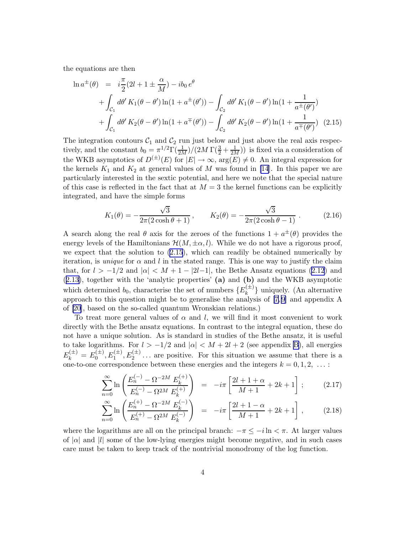<span id="page-5-0"></span>the equations are then

$$
\ln a^{\pm}(\theta) = i\frac{\pi}{2}(2l + 1 \pm \frac{\alpha}{M}) - ib_0 e^{\theta}
$$
  
+  $\int_{C_1} d\theta' K_1(\theta - \theta') \ln(1 + a^{\pm}(\theta')) - \int_{C_2} d\theta' K_1(\theta - \theta') \ln(1 + \frac{1}{a^{\pm}(\theta')})$   
+  $\int_{C_1} d\theta' K_2(\theta - \theta') \ln(1 + a^{\mp}(\theta')) - \int_{C_2} d\theta' K_2(\theta - \theta') \ln(1 + \frac{1}{a^{\mp}(\theta')})$  (2.15)

The integration contours  $C_1$  and  $C_2$  run just below and just above the real axis respectively, and the constant  $b_0 = \pi^{1/2}\Gamma(\frac{1}{2M})/(2M\Gamma(\frac{3}{2}+\frac{1}{2M}))$  is fixed via a consideration of the WKB asymptotics of  $D^{(\pm)}(E)$  for  $|E| \to \infty$ ,  $\arg(E) \neq 0$ . An integral expression for the kernels  $K_1$  and  $K_2$  at general values of M was found in [\[14](#page-29-0)]. In this paper we are particularly interested in the sextic potential, and here we note that the special nature of this case is reflected in the fact that at  $M = 3$  the kernel functions can be explicitly integrated, and have the simple forms

$$
K_1(\theta) = -\frac{\sqrt{3}}{2\pi(2\cosh\theta + 1)}, \qquad K_2(\theta) = -\frac{\sqrt{3}}{2\pi(2\cosh\theta - 1)}.
$$
 (2.16)

A search along the real  $\theta$  axis for the zeroes of the functions  $1 + a^{\pm}(\theta)$  provides the energy levels of the Hamiltonians  $\mathcal{H}(M, \pm \alpha, l)$ . While we do not have a rigorous proof. we expect that the solution to([2.15](#page-4-0)), which can readily be obtained numerically by iteration, is *unique* for  $\alpha$  and l in the stated range. This is one way to justify the claim that, for  $l > -1/2$  and  $|\alpha| < M + 1 - |2l-1|$ , the Bethe Ansatz equations [\(2.12](#page-3-0)) and ([2.13](#page-3-0)), together with the 'analytic properties' (a) and (b) and the WKB asymptotic which determined  $b_0$ , characterise the set of numbers  $\{E_k^{(\pm)}\}$  $\binom{n+1}{k}$  uniquely. (An alternative approach to this question might be to generalise the analysis of [\[7, 9\]](#page-29-0) and appendix A of [\[20\]](#page-30-0), based on the so-called quantum Wronskian relations.)

To treat more general values of  $\alpha$  and l, we will find it most convenient to work directly with the Bethe ansatz equations. In contrast to the integral equation, these do not have a unique solution. As is standard in studies of the Bethe ansatz, it is useful to take logarithms. For  $l > -1/2$  and  $|\alpha| < M + 2l + 2$  (see appendix [B\)](#page-25-0), all energies  $E_k^{(\pm)} = E_0^{(\pm)}$  $\mathcal{L}_0^{(\pm)}, E_1^{(\pm)}, E_2^{(\pm)} \dots$  are positive. For this situation we assume that there is a one-to-one correspondence between these energies and the integers  $k = 0, 1, 2, \ldots$ :

$$
\sum_{n=0}^{\infty} \ln \left( \frac{E_n^{(-)} - \Omega^{-2M} E_k^{(+)}}{E_n^{(-)} - \Omega^{2M} E_k^{(+)}} \right) = -i\pi \left[ \frac{2l+1+\alpha}{M+1} + 2k+1 \right];
$$
 (2.17)

$$
\sum_{n=0}^{\infty} \ln \left( \frac{E_n^{(+)} - \Omega^{-2M} E_k^{(-)}}{E_n^{(+)} - \Omega^{2M} E_k^{(-)}} \right) = -i\pi \left[ \frac{2l+1-\alpha}{M+1} + 2k+1 \right],
$$
 (2.18)

where the logarithms are all on the principal branch:  $-\pi \leq -i \ln \lt \pi$ . At larger values of  $|\alpha|$  and  $|l|$  some of the low-lying energies might become negative, and in such cases care must be taken to keep track of the nontrivial monodromy of the log function.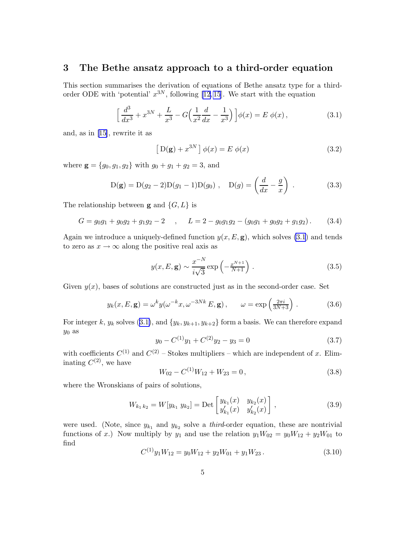#### <span id="page-6-0"></span>3 The Bethe ansatz approach to a third-order equation

This section summarises the derivation of equations of Bethe ansatz type for a thirdorder ODE with 'potential'  $x^{3N}$ , following [\[12](#page-29-0), [15](#page-29-0)]. We start with the equation

$$
\left[\frac{d^3}{dx^3} + x^{3N} + \frac{L}{x^3} - G\left(\frac{1}{x^2}\frac{d}{dx} - \frac{1}{x^3}\right)\right]\phi(x) = E\ \phi(x)\,,\tag{3.1}
$$

and, as in[[15\]](#page-29-0), rewrite it as

$$
\left[D(g) + x^{3N}\right]\phi(x) = E \phi(x) \tag{3.2}
$$

where  $\mathbf{g} = \{g_0, g_1, g_2\}$  with  $g_0 + g_1 + g_2 = 3$ , and

$$
D(g) = D(g_2 - 2)D(g_1 - 1)D(g_0), \quad D(g) = \left(\frac{d}{dx} - \frac{g}{x}\right).
$$
 (3.3)

The relationship between **g** and  $\{G, L\}$  is

$$
G = g_0 g_1 + g_0 g_2 + g_1 g_2 - 2 \quad , \quad L = 2 - g_0 g_1 g_2 - (g_0 g_1 + g_0 g_2 + g_1 g_2). \tag{3.4}
$$

Again we introduce a uniquely-defined function  $y(x, E, \mathbf{g})$ , which solves [\(3.1](#page-5-0)) and tends to zero as  $x \to \infty$  along the positive real axis as

$$
y(x, E, \mathbf{g}) \sim \frac{x^{-N}}{i\sqrt{3}} \exp\left(-\frac{x^{N+1}}{N+1}\right). \tag{3.5}
$$

Given  $y(x)$ , bases of solutions are constructed just as in the second-order case. Set

$$
y_k(x, E, \mathbf{g}) = \omega^k y(\omega^{-k} x, \omega^{-3Nk} E, \mathbf{g}), \qquad \omega = \exp\left(\frac{2\pi i}{3N+3}\right). \tag{3.6}
$$

Forinteger k,  $y_k$  solves ([3.1\)](#page-5-0), and  $\{y_k, y_{k+1}, y_{k+2}\}$  form a basis. We can therefore expand  $y_0$  as

$$
y_0 - C^{(1)}y_1 + C^{(2)}y_2 - y_3 = 0 \tag{3.7}
$$

with coefficients  $C^{(1)}$  and  $C^{(2)}$  – Stokes multipliers – which are independent of x. Eliminating  $C^{(2)}$ , we have

$$
W_{02} - C^{(1)}W_{12} + W_{23} = 0, \t\t(3.8)
$$

where the Wronskians of pairs of solutions,

$$
W_{k_1 k_2} = W[y_{k_1} y_{k_2}] = \text{Det}\begin{bmatrix} y_{k_1}(x) & y_{k_2}(x) \\ y'_{k_1}(x) & y'_{k_2}(x) \end{bmatrix},
$$
\n(3.9)

were used. (Note, since  $y_{k_1}$  and  $y_{k_2}$  solve a *third*-order equation, these are nontrivial functions of x.) Now multiply by  $y_1$  and use the relation  $y_1W_{02} = y_0W_{12} + y_2W_{01}$  to find

$$
C^{(1)}y_1W_{12} = y_0W_{12} + y_2W_{01} + y_1W_{23}.
$$
\n(3.10)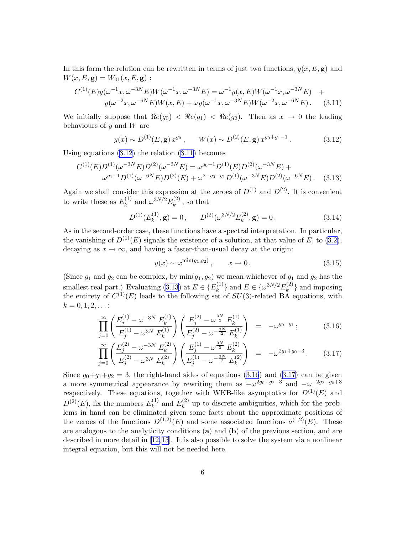<span id="page-7-0"></span>In this form the relation can be rewritten in terms of just two functions,  $y(x, E, g)$  and  $W(x, E, g) = W_{01}(x, E, g)$ :

$$
C^{(1)}(E)y(\omega^{-1}x, \omega^{-3N}E)W(\omega^{-1}x, \omega^{-3N}E) = \omega^{-1}y(x, E)W(\omega^{-1}x, \omega^{-3N}E) + y(\omega^{-2}x, \omega^{-6N}E)W(x, E) + \omega y(\omega^{-1}x, \omega^{-3N}E)W(\omega^{-2}x, \omega^{-6N}E).
$$
 (3.11)

We initially suppose that  $\Re e(g_0) < \Re e(g_1) < \Re e(g_2)$ . Then as  $x \to 0$  the leading behaviours of  $y$  and  $W$  are

$$
y(x) \sim D^{(1)}(E, \mathbf{g}) x^{g_0}, \qquad W(x) \sim D^{(2)}(E, \mathbf{g}) x^{g_0 + g_1 - 1}.
$$
 (3.12)

Using equations [\(3.12](#page-6-0)) the relation([3.11\)](#page-6-0) becomes

$$
C^{(1)}(E)D^{(1)}(\omega^{-3N}E)D^{(2)}(\omega^{-3N}E) = \omega^{g_0 - 1}D^{(1)}(E)D^{(2)}(\omega^{-3N}E) + \omega^{g_1 - 1}D^{(1)}(\omega^{-6N}E)D^{(2)}(E) + \omega^{2 - g_0 - g_1}D^{(1)}(\omega^{-3N}E)D^{(2)}(\omega^{-6N}E).
$$
 (3.13)

Again we shall consider this expression at the zeroes of  $D^{(1)}$  and  $D^{(2)}$ . It is convenient to write these as  $E_k^{(1)}$  $k^{(1)}$  and  $\omega^{3N/2} E_k^{(2)}$  $\int_k^{(2)}$ , so that

$$
D^{(1)}(E_k^{(1)}, \mathbf{g}) = 0, \qquad D^{(2)}(\omega^{3N/2} E_k^{(2)}, \mathbf{g}) = 0.
$$
 (3.14)

As in the second-order case, these functions have a spectral interpretation. In particular, the vanishing of  $D^{(1)}(E)$  signals the existence of a solution, at that value of E, to [\(3.2\)](#page-5-0), decaying as  $x \to \infty$ , and having a faster-than-usual decay at the origin:

$$
y(x) \sim x^{\min(g_1, g_2)}, \qquad x \to 0.
$$
 (3.15)

(Since  $g_1$  and  $g_2$  can be complex, by  $\min(g_1,g_2)$  we mean whichever of  $g_1$  and  $g_2$  has the smallestreal part.) Evaluating ([3.13\)](#page-6-0) at  $E \in \{E_k^{(1)}\}$  ${k \choose k}$  and  $E \in {\{\omega^{3N/2}E_k^{(2)}\}}$  $\binom{2}{k}$  and imposing the entirety of  $C^{(1)}(E)$  leads to the following set of  $SU(3)$ -related BA equations, with  $k = 0, 1, 2, \ldots$ :

$$
\prod_{j=0}^{\infty} \left( \frac{E_j^{(1)} - \omega^{-3N} E_k^{(1)}}{E_j^{(1)} - \omega^{3N} E_k^{(1)}} \right) \left( \frac{E_j^{(2)} - \omega^{\frac{3N}{2}} E_k^{(1)}}{E_j^{(2)} - \omega^{-\frac{3N}{2}} E_k^{(1)}} \right) = -\omega^{g_0 - g_1};
$$
\n(3.16)

$$
\prod_{j=0}^{\infty} \left( \frac{E_j^{(2)} - \omega^{-3N} E_k^{(2)}}{E_j^{(2)} - \omega^{3N} E_k^{(2)}} \right) \left( \frac{E_j^{(1)} - \omega^{\frac{3N}{2}} E_k^{(2)}}{E_j^{(1)} - \omega^{-\frac{3N}{2}} E_k^{(2)}} \right) = -\omega^{2g_1 + g_0 - 3}.
$$
 (3.17)

Since $g_0+g_1+g_2=3$ , the right-hand sides of equations [\(3.16](#page-6-0)) and ([3.17](#page-6-0)) can be given a more symmetrical appearance by rewriting them as  $-\omega^{2g_0+g_2-3}$  and  $-\omega^{-2g_2-g_0+3}$ respectively. These equations, together with WKB-like asymptotics for  $D^{(1)}(E)$  and  $D^{(2)}(E)$ , fix the numbers  $E_k^{(1)}$  $k^{(1)}$  and  $E_k^{(2)}$  $\kappa^{(2)}$  up to discrete ambiguities, which for the problems in hand can be eliminated given some facts about the approximate positions of the zeroes of the functions  $D^{(1,2)}(E)$  and some associated functions  $a^{(1,2)}(E)$ . These are analogous to the analyticity conditions  $(a)$  and  $(b)$  of the previous section, and are described in more detail in[[12,15](#page-29-0)]. It is also possible to solve the system via a nonlinear integral equation, but this will not be needed here.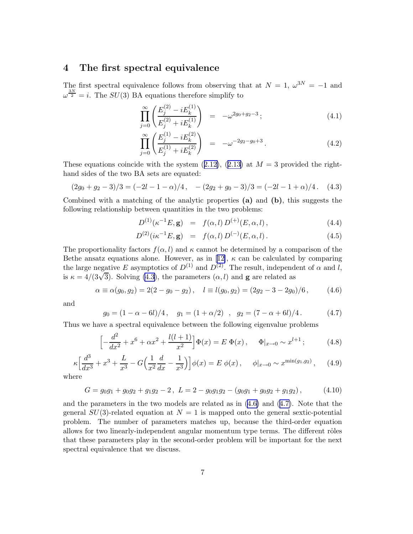#### <span id="page-8-0"></span>4 The first spectral equivalence

The first spectral equivalence follows from observing that at  $N = 1$ ,  $\omega^{3N} = -1$  and  $\omega^{\frac{3N}{2}} = i$ . The  $SU(3)$  BA equations therefore simplify to

$$
\prod_{j=0}^{\infty} \left( \frac{E_j^{(2)} - i E_k^{(1)}}{E_j^{(2)} + i E_k^{(1)}} \right) = -\omega^{2g_0 + g_2 - 3};\tag{4.1}
$$

$$
\prod_{j=0}^{\infty} \left( \frac{E_j^{(1)} - i E_k^{(2)}}{E_j^{(1)} + i E_k^{(2)}} \right) = -\omega^{-2g_2 - g_0 + 3}.
$$
\n(4.2)

Theseequations coincide with the system  $(2.12)$  $(2.12)$ ,  $(2.13)$  $(2.13)$  at  $M = 3$  provided the righthand sides of the two BA sets are equated:

$$
(2g_0 + g_2 - 3)/3 = (-2l - 1 - \alpha)/4, \quad -(2g_2 + g_0 - 3)/3 = (-2l - 1 + \alpha)/4. \tag{4.3}
$$

Combined with a matching of the analytic properties (a) and (b), this suggests the following relationship between quantities in the two problems:

$$
D^{(1)}(\kappa^{-1}E, \mathbf{g}) = f(\alpha, l) D^{(+)}(E, \alpha, l), \qquad (4.4)
$$

$$
D^{(2)}(i\kappa^{-1}E, \mathbf{g}) = f(\alpha, l) D^{(-)}(E, \alpha, l).
$$
 (4.5)

The proportionality factors  $f(\alpha, l)$  and  $\kappa$  cannot be determined by a comparison of the Betheansatz equations alone. However, as in [[12\]](#page-29-0),  $\kappa$  can be calculated by comparing the large negative E asymptotics of  $D^{(1)}$  and  $D^{(2)}$ . The result, independent of  $\alpha$  and l, is  $\kappa = 4/(3\sqrt{3})$ . Solving [\(4.3](#page-7-0)), the parameters  $(\alpha, l)$  and **g** are related as

$$
\alpha \equiv \alpha(g_0, g_2) = 2(2 - g_0 - g_2), \quad l \equiv l(g_0, g_2) = (2g_2 - 3 - 2g_0)/6, \quad (4.6)
$$

and

$$
g_0 = (1 - \alpha - 6l)/4, \quad g_1 = (1 + \alpha/2), \quad g_2 = (7 - \alpha + 6l)/4. \tag{4.7}
$$

Thus we have a spectral equivalence between the following eigenvalue problems

$$
\left[ -\frac{d^2}{dx^2} + x^6 + \alpha x^2 + \frac{l(l+1)}{x^2} \right] \Phi(x) = E \Phi(x), \quad \Phi|_{x \to 0} \sim x^{l+1}; \tag{4.8}
$$

$$
\kappa \left[ \frac{d^3}{dx^3} + x^3 + \frac{L}{x^3} - G \left( \frac{1}{x^2} \frac{d}{dx} - \frac{1}{x^3} \right) \right] \phi(x) = E \phi(x), \quad \phi|_{x \to 0} \sim x^{\min(g_1, g_2)}, \quad (4.9)
$$

where

$$
G = g_0 g_1 + g_0 g_2 + g_1 g_2 - 2, L = 2 - g_0 g_1 g_2 - (g_0 g_1 + g_0 g_2 + g_1 g_2),
$$
 (4.10)

and the parameters in the two models are related as in [\(4.6\)](#page-7-0) and([4.7\)](#page-7-0). Note that the general  $SU(3)$ -related equation at  $N = 1$  is mapped onto the general sextic-potential problem. The number of parameters matches up, because the third-order equation allows for two linearly-independent angular momentum type terms. The different rôles that these parameters play in the second-order problem will be important for the next spectral equivalence that we discuss.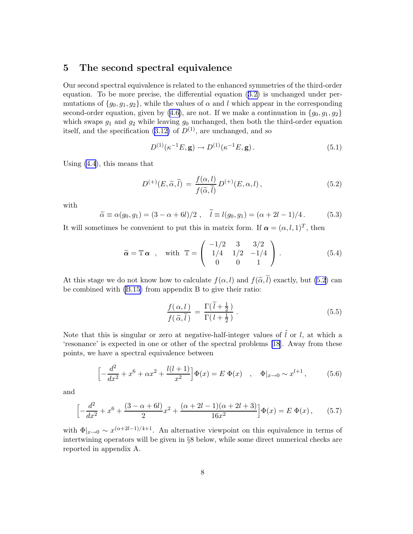#### <span id="page-9-0"></span>5 The second spectral equivalence

Our second spectral equivalence is related to the enhanced symmetries of the third-order equation. To be more precise, the differential equation([3.2\)](#page-5-0) is unchanged under permutations of  $\{g_0, g_1, g_2\}$ , while the values of  $\alpha$  and l which appear in the corresponding second-orderequation, given by ([4.6\)](#page-7-0), are not. If we make a continuation in  $\{g_0, g_1, g_2\}$ which swaps  $g_1$  and  $g_2$  while leaving  $g_0$  unchanged, then both the third-order equation itself, and the specification  $(3.12)$  of  $D^{(1)}$ , are unchanged, and so

$$
D^{(1)}(\kappa^{-1}E, \mathbf{g}) \to D^{(1)}(\kappa^{-1}E, \mathbf{g}). \tag{5.1}
$$

Using [\(4.4](#page-7-0)), this means that

$$
D^{(+)}(E,\widetilde{\alpha},\widetilde{l}) = \frac{f(\alpha,l)}{f(\widetilde{\alpha},\widetilde{l})} D^{(+)}(E,\alpha,l), \qquad (5.2)
$$

with

$$
\widetilde{\alpha} \equiv \alpha(g_0, g_1) = (3 - \alpha + 6l)/2 \; , \quad \widetilde{l} \equiv l(g_0, g_1) = (\alpha + 2l - 1)/4 \; .
$$
\n(5.3)

It will sometimes be convenient to put this in matrix form. If  $\alpha = (\alpha, l, 1)^T$ , then

$$
\tilde{\alpha} = \mathbb{T}\,\alpha
$$
, with  $\mathbb{T} = \begin{pmatrix} -1/2 & 3 & 3/2 \\ 1/4 & 1/2 & -1/4 \\ 0 & 0 & 1 \end{pmatrix}$ . (5.4)

At this stage we do not know how to calculate  $f(\alpha, l)$  and  $f(\tilde{\alpha}, l)$  exactly, but [\(5.2](#page-8-0)) can be combined with [\(B.15\)](#page-27-0) from appendix B to give their ratio:

$$
\frac{f(\alpha, l)}{f(\widetilde{\alpha}, \widetilde{l})} = \frac{\Gamma(\widetilde{l} + \frac{1}{2})}{\Gamma(l + \frac{1}{2})} \,. \tag{5.5}
$$

Note that this is singular or zero at negative-half-integer values of  $\tilde{l}$  or l, at which a 'resonance' is expected in one or other of the spectral problems [\[18](#page-29-0)]. Away from these points, we have a spectral equivalence between

$$
\left[ -\frac{d^2}{dx^2} + x^6 + \alpha x^2 + \frac{l(l+1)}{x^2} \right] \Phi(x) = E \Phi(x) \quad , \quad \Phi|_{x \to 0} \sim x^{l+1} \,, \tag{5.6}
$$

and

$$
\left[ -\frac{d^2}{dx^2} + x^6 + \frac{(3-\alpha+6l)}{2}x^2 + \frac{(\alpha+2l-1)(\alpha+2l+3)}{16x^2} \right] \Phi(x) = E \Phi(x), \quad (5.7)
$$

with  $\Phi|_{x\to 0} \sim x^{(\alpha+2l-1)/4+1}$ . An alternative viewpoint on this equivalence in terms of intertwining operators will be given in §8 below, while some direct numerical checks are reported in appendix A.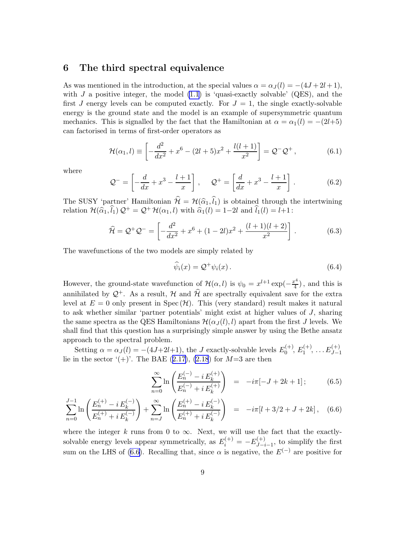#### <span id="page-10-0"></span>6 The third spectral equivalence

As was mentioned in the introduction, at the special values  $\alpha = \alpha_I(l) = -(4J + 2l + 1),$ with  $J$  a positive integer, the model  $(1.1)$  is 'quasi-exactly solvable' (QES), and the first J energy levels can be computed exactly. For  $J = 1$ , the single exactly-solvable energy is the ground state and the model is an example of supersymmetric quantum mechanics. This is signalled by the fact that the Hamiltonian at  $\alpha = \alpha_1(l) = -(2l+5)$ can factorised in terms of first-order operators as

$$
\mathcal{H}(\alpha_1, l) \equiv \left[ -\frac{d^2}{dx^2} + x^6 - (2l + 5)x^2 + \frac{l(l+1)}{x^2} \right] = \mathcal{Q}^- \mathcal{Q}^+, \tag{6.1}
$$

where

$$
\mathcal{Q}^- = \left[ -\frac{d}{dx} + x^3 - \frac{l+1}{x} \right], \qquad \mathcal{Q}^+ = \left[ \frac{d}{dx} + x^3 - \frac{l+1}{x} \right]. \tag{6.2}
$$

The SUSY 'partner' Hamiltonian  $\hat{\mathcal{H}} = \mathcal{H}(\hat{\alpha}_1,\hat{l}_1)$  is obtained through the intertwining relation  $\mathcal{H}(\hat{\alpha}_1,\hat{l}_1)$   $\mathcal{Q}^+ = \mathcal{Q}^+ \mathcal{H}(\alpha_1,l)$  with  $\hat{\alpha}_1(l) = 1-2l$  and  $\hat{l}_1(l) = l+1$ :

$$
\widehat{\mathcal{H}} = \mathcal{Q}^+ \mathcal{Q}^- = \left[ -\frac{d^2}{dx^2} + x^6 + (1 - 2l)x^2 + \frac{(l+1)(l+2)}{x^2} \right].
$$
\n(6.3)

The wavefunctions of the two models are simply related by

$$
\widehat{\psi}_i(x) = \mathcal{Q}^+ \psi_i(x). \tag{6.4}
$$

However, the ground-state wavefunction of  $\mathcal{H}(\alpha, l)$  is  $\psi_0 = x^{l+1} \exp(-\frac{x^4}{4})$  $\frac{c^4}{4}$ , and this is annihilated by  $\mathcal{Q}^+$ . As a result, H and  $\hat{\mathcal{H}}$  are spectrally equivalent save for the extra level at  $E = 0$  only present in Spec  $(\mathcal{H})$ . This (very standard) result makes it natural to ask whether similar 'partner potentials' might exist at higher values of J, sharing the same spectra as the QES Hamiltonians  $\mathcal{H}(\alpha_j(l),l)$  apart from the first J levels. We shall find that this question has a surprisingly simple answer by using the Bethe ansatz approach to the spectral problem.

Setting  $\alpha = \alpha_J(l) = -(4J+2l+1)$ , the J exactly-solvable levels  $E_0^{(+)}$  $E_0^{(+)}, E_1^{(+)}$  $L_1^{(+)}, \ldots E_{J-1}^{(+)}$  $J-1$ liein the sector '(+)'. The BAE ([2.17\)](#page-4-0), [\(2.18](#page-4-0)) for  $M=3$  are then

$$
\sum_{n=0}^{\infty} \ln \left( \frac{E_n^{(-)} - i E_k^{(+)}}{E_n^{(-)} + i E_k^{(+)}} \right) = -i\pi [-J + 2k + 1];
$$
 (6.5)

$$
\sum_{n=0}^{J-1} \ln \left( \frac{E_n^{(+)} - i E_k^{(-)}}{E_n^{(+)} + i E_k^{(-)}} \right) + \sum_{n=J}^{\infty} \ln \left( \frac{E_n^{(+)} - i E_k^{(-)}}{E_n^{(+)} + i E_k^{(-)}} \right) = -i\pi [l + 3/2 + J + 2k], \quad (6.6)
$$

where the integer k runs from 0 to  $\infty$ . Next, we will use the fact that the exactlysolvable energy levels appear symmetrically, as  $E_i^{(+)} = -E_{J-i}^{(+)}$  $J_{-i-1}^{(\dagger)}$ , to simplify the first sum on the LHS of [\(6.6\)](#page-9-0). Recalling that, since  $\alpha$  is negative, the  $E^{(-)}$  are positive for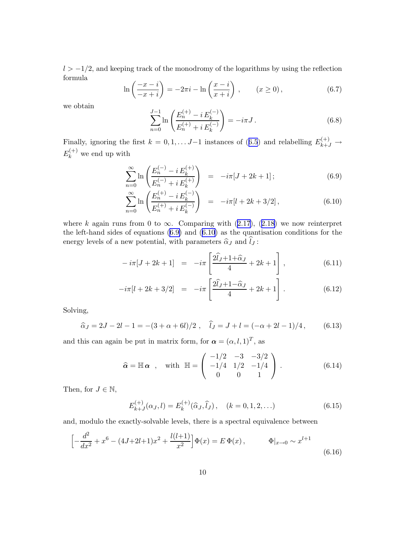<span id="page-11-0"></span> $l > -1/2$ , and keeping track of the monodromy of the logarithms by using the reflection formula

$$
\ln\left(\frac{-x-i}{-x+i}\right) = -2\pi i - \ln\left(\frac{x-i}{x+i}\right), \qquad (x \ge 0), \tag{6.7}
$$

we obtain

$$
\sum_{n=0}^{J-1} \ln \left( \frac{E_n^{(+)} - i E_k^{(-)}}{E_n^{(+)} + i E_k^{(-)}} \right) = -i\pi J.
$$
 (6.8)

Finally,ignoring the first  $k = 0, 1, \ldots J-1$  instances of ([6.5](#page-9-0)) and relabelling  $E_{k+J}^{(+)} \rightarrow$  $E_k^{(+)}$  we end up with

$$
\sum_{n=0}^{\infty} \ln \left( \frac{E_n^{(-)} - i E_k^{(+)}}{E_n^{(-)} + i E_k^{(+)}} \right) = -i\pi [J + 2k + 1];
$$
\n(6.9)

$$
\sum_{n=0}^{\infty} \ln \left( \frac{E_n^{(+)} - i E_k^{(-)}}{E_n^{(+)} + i E_k^{(-)}} \right) = -i\pi [l + 2k + 3/2], \tag{6.10}
$$

wherek again runs from 0 to  $\infty$ . Comparing with [\(2.17](#page-4-0)), ([2.18\)](#page-4-0) we now reinterpret the left-hand sides of equations([6.9\)](#page-10-0) and([6.10\)](#page-10-0) as the quantisation conditions for the energy levels of a new potential, with parameters  $\widehat{\alpha}_J$  and  $\widehat{l}_J$ :

$$
-i\pi[J+2k+1] = -i\pi \left[\frac{2\hat{l}_J+1+\hat{\alpha}_J}{4} + 2k+1\right],
$$
\n(6.11)

$$
-i\pi[l+2k+3/2] = -i\pi \left[\frac{2\hat{l}_J+1-\hat{\alpha}_J}{4} + 2k+1\right].
$$
 (6.12)

Solving,

$$
\widehat{\alpha}_J = 2J - 2l - 1 = -(3 + \alpha + 6l)/2 , \quad \widehat{l}_J = J + l = (-\alpha + 2l - 1)/4 , \quad (6.13)
$$

and this can again be put in matrix form, for  $\alpha = (\alpha, l, 1)^T$ , as

$$
\hat{\alpha} = \mathbb{H} \alpha \ , \quad \text{with} \ \mathbb{H} = \begin{pmatrix} -1/2 & -3 & -3/2 \\ -1/4 & 1/2 & -1/4 \\ 0 & 0 & 1 \end{pmatrix} . \tag{6.14}
$$

Then, for  $J \in \mathbb{N}$ ,

$$
E_{k+J}^{(+)}(\alpha_j, l) = E_k^{(+)}(\widehat{\alpha}_j, \widehat{l}_j), \quad (k = 0, 1, 2, ...)
$$
 (6.15)

and, modulo the exactly-solvable levels, there is a spectral equivalence between

$$
\left[ -\frac{d^2}{dx^2} + x^6 - (4J + 2l + 1)x^2 + \frac{l(l+1)}{x^2} \right] \Phi(x) = E \Phi(x), \qquad \Phi|_{x \to 0} \sim x^{l+1}
$$
\n(6.16)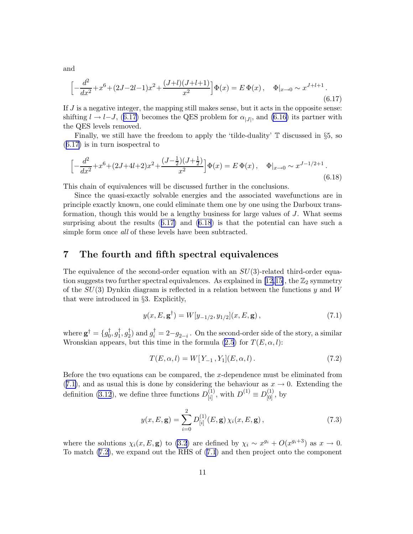$$
\left[ -\frac{d^2}{dx^2} + x^6 + (2J - 2l - 1)x^2 + \frac{(J + l)(J + l + 1)}{x^2} \right] \Phi(x) = E \Phi(x), \quad \Phi|_{x \to 0} \sim x^{J + l + 1}.
$$
\n(6.17)

If  $J$  is a negative integer, the mapping still makes sense, but it acts in the opposite sense: shifting $l \rightarrow l-J$ , ([6.17\)](#page-11-0) becomes the QES problem for  $\alpha_{|J|}$ , and [\(6.16\)](#page-10-0) its partner with the QES levels removed.

Finally, we still have the freedom to apply the 'tilde-duality' <sup>T</sup> discussed in §5, so ([6.17](#page-11-0)) is in turn isospectral to

$$
\left[ -\frac{d^2}{dx^2} + x^6 + (2J + 4l + 2)x^2 + \frac{(J - \frac{1}{2})(J + \frac{1}{2})}{x^2} \right] \Phi(x) = E \Phi(x), \quad \Phi|_{x \to 0} \sim x^{J - 1/2 + 1}.
$$
\n(6.18)

This chain of equivalences will be discussed further in the conclusions.

Since the quasi-exactly solvable energies and the associated wavefunctions are in principle exactly known, one could eliminate them one by one using the Darboux transformation, though this would be a lengthy business for large values of J. What seems surprising about the results([6.17\)](#page-11-0) and [\(6.18](#page-11-0)) is that the potential can have such a simple form once *all* of these levels have been subtracted.

#### 7 The fourth and fifth spectral equivalences

The equivalence of the second-order equation with an  $SU(3)$ -related third-order equa-tion suggests two further spectral equivalences. As explained in [\[12,15\]](#page-29-0), the  $\mathbb{Z}_2$  symmetry of the  $SU(3)$  Dynkin diagram is reflected in a relation between the functions y and W that were introduced in §3. Explicitly,

$$
y(x, E, \mathbf{g}^{\dagger}) = W[y_{-1/2}, y_{1/2}](x, E, \mathbf{g}), \qquad (7.1)
$$

where  $\mathbf{g}^{\dagger} = \{g^{\dagger}_0$  $\,{}_0^{\dagger},g_1^{\dagger}$  $_1^{\dagger}, g_2^{\dagger}$  $g_i^{\dagger} = 2 - g_{2-i}$ . On the second-order side of the story, a similar Wronskian appears, but this time in the formula [\(2.5](#page-2-0)) for  $T(E, \alpha, l)$ :

$$
T(E, \alpha, l) = W[Y_{-1}, Y_1](E, \alpha, l).
$$
\n(7.2)

Before the two equations can be compared, the x-dependence must be eliminated from ([7.1\)](#page-11-0), and as usual this is done by considering the behaviour as  $x \to 0$ . Extending the definition [\(3.12](#page-6-0)), we define three functions  $D_{[i]}^{(1)}$  $\binom{1}{[i]}$ , with  $D^{(1)} \equiv D^{(1)}_{[0]}$ , by

$$
y(x, E, \mathbf{g}) = \sum_{i=0}^{2} D_{[i]}^{(1)}(E, \mathbf{g}) \chi_i(x, E, \mathbf{g}), \qquad (7.3)
$$

where the solutions  $\chi_i(x, E, \mathbf{g})$  to [\(3.2](#page-5-0)) are defined by  $\chi_i \sim x^{g_i} + O(x^{g_i+3})$  as  $x \to 0$ . To match([7.2\)](#page-11-0), we expand out the RHS of([7.1](#page-11-0)) and then project onto the component

<span id="page-12-0"></span>and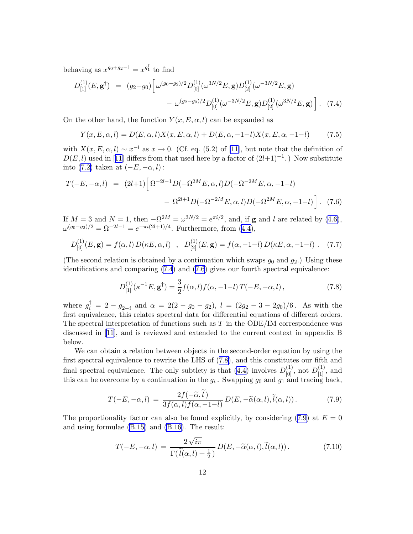<span id="page-13-0"></span>behaving as  $x^{g_0+g_2-1} = x^{g_1^{\dagger}}$  to find

$$
D_{[1]}^{(1)}(E, \mathbf{g}^{\dagger}) = (g_2 - g_0) \left[ \omega^{(g_0 - g_2)/2} D_{[0]}^{(1)}(\omega^{3N/2} E, \mathbf{g}) D_{[2]}^{(1)}(\omega^{-3N/2} E, \mathbf{g}) - \omega^{(g_2 - g_0)/2} D_{[0]}^{(1)}(\omega^{-3N/2} E, \mathbf{g}) D_{[2]}^{(1)}(\omega^{3N/2} E, \mathbf{g}) \right].
$$
 (7.4)

On the other hand, the function  $Y(x, E, \alpha, l)$  can be expanded as

$$
Y(x, E, \alpha, l) = D(E, \alpha, l)X(x, E, \alpha, l) + D(E, \alpha, -1-l)X(x, E, \alpha, -1-l)
$$
(7.5)

with  $X(x, E, \alpha, l) \sim x^{-l}$  as  $x \to 0$ . (Cf. eq. (5.2) of [\[11](#page-29-0)], but note that the definition of  $D(E, l)$  $D(E, l)$  $D(E, l)$  used in [[11](#page-29-0)] differs from that used here by a factor of  $(2l+1)^{-1}$ .) Now substitute into([7.2\)](#page-11-0) taken at  $(-E, -\alpha, l)$ :

$$
T(-E, -\alpha, l) = (2l+1) \left[ \Omega^{-2l-1} D(-\Omega^{2M} E, \alpha, l) D(-\Omega^{-2M} E, \alpha, -1-l) - \Omega^{2l+1} D(-\Omega^{-2M} E, \alpha, l) D(-\Omega^{2M} E, \alpha, -1-l) \right].
$$
 (7.6)

If  $M = 3$  and  $N = 1$ , then  $-\Omega^{2M} = \omega^{3N/2} = e^{\pi i/2}$ , and, if **g** and l are related by [\(4.6\)](#page-7-0),  $\omega^{(g_0 - g_2)/2} = \Omega^{-2l-1} = e^{-\pi i (2l+1)/4}$ . Furthermore, from [\(4.4\)](#page-7-0),

$$
D_{[0]}^{(1)}(E, \mathbf{g}) = f(\alpha, l) D(\kappa E, \alpha, l) \quad , \quad D_{[2]}^{(1)}(E, \mathbf{g}) = f(\alpha, -1 - l) D(\kappa E, \alpha, -1 - l) \quad . \tag{7.7}
$$

(The second relation is obtained by a continuation which swaps  $g_0$  and  $g_2$ .) Using these identifications and comparing [\(7.4](#page-12-0)) and([7.6](#page-12-0)) gives our fourth spectral equivalence:

$$
D_{[1]}^{(1)}(\kappa^{-1}E, \mathbf{g}^{\dagger}) = \frac{3}{2} f(\alpha, l) f(\alpha, -1-l) T(-E, -\alpha, l) , \qquad (7.8)
$$

where  $g_i^{\dagger} = 2 - g_{2-i}$  and  $\alpha = 2(2 - g_0 - g_2)$ ,  $l = (2g_2 - 3 - 2g_0)/6$ . As with the first equivalence, this relates spectral data for differential equations of different orders. The spectral interpretation of functions such as  $T$  in the ODE/IM correspondence was discussed in[[11\]](#page-29-0), and is reviewed and extended to the current context in appendix B below.

We can obtain a relation between objects in the second-order equation by using the first spectral equivalence to rewrite the LHS of([7.8\)](#page-12-0), and this constitutes our fifth and final spectral equivalence. The only subtlety is that [\(4.4\)](#page-7-0) involves  $D_{[0]}^{(1)}$ , not  $D_{[1]}^{(1)}$ , and this can be overcome by a continuation in the  $g_i$ . Swapping  $g_0$  and  $g_1$  and tracing back,

$$
T(-E, -\alpha, l) = \frac{2f(-\widetilde{\alpha}, l)}{3f(\alpha, l)f(\alpha, -1-l)} D(E, -\widetilde{\alpha}(\alpha, l), \widetilde{l}(\alpha, l)).
$$
\n(7.9)

Theproportionality factor can also be found explicitly, by considering ([7.9\)](#page-12-0) at  $E = 0$ and using formulae [\(B.15\)](#page-27-0) and [\(B.16\)](#page-28-0). The result:

$$
T(-E, -\alpha, l) = \frac{2\sqrt{i\pi}}{\Gamma(\tilde{l}(\alpha, l) + \frac{1}{2})} D(E, -\tilde{\alpha}(\alpha, l), \tilde{l}(\alpha, l)).
$$
\n(7.10)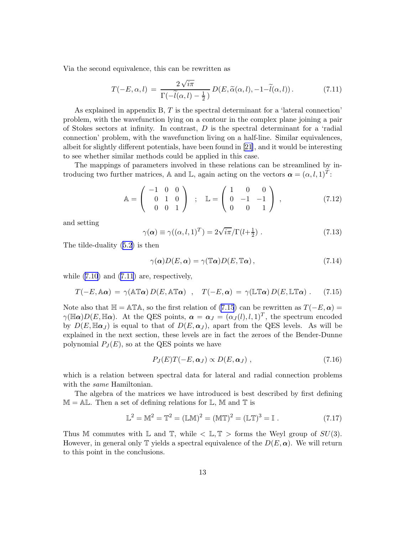<span id="page-14-0"></span>Via the second equivalence, this can be rewritten as

$$
T(-E,\alpha,l) = \frac{2\sqrt{i\pi}}{\Gamma(-\tilde{l}(\alpha,l)-\frac{1}{2})} D(E,\tilde{\alpha}(\alpha,l),-1-\tilde{l}(\alpha,l)).
$$
 (7.11)

As explained in appendix  $B, T$  is the spectral determinant for a 'lateral connection' problem, with the wavefunction lying on a contour in the complex plane joining a pair of Stokes sectors at infinity. In contrast,  $D$  is the spectral determinant for a 'radial connection' problem, with the wavefunction living on a half-line. Similar equivalences, albeit for slightly different potentials, have been found in [\[21\]](#page-30-0), and it would be interesting to see whether similar methods could be applied in this case.

The mappings of parameters involved in these relations can be streamlined by introducing two further matrices, A and L, again acting on the vectors  $\boldsymbol{\alpha} = (\alpha, l, 1)^T$ :

$$
\mathbb{A} = \left( \begin{array}{ccc} -1 & 0 & 0 \\ 0 & 1 & 0 \\ 0 & 0 & 1 \end{array} \right) ; \quad \mathbb{L} = \left( \begin{array}{ccc} 1 & 0 & 0 \\ 0 & -1 & -1 \\ 0 & 0 & 1 \end{array} \right) , \tag{7.12}
$$

and setting

$$
\gamma(\alpha) \equiv \gamma((\alpha, l, 1)^T) = 2\sqrt{i\pi}/\Gamma(l + \frac{1}{2}).
$$
\n(7.13)

The tilde-duality [\(5.2\)](#page-8-0) is then

$$
\gamma(\alpha)D(E,\alpha) = \gamma(\mathbb{T}\alpha)D(E,\mathbb{T}\alpha),\qquad(7.14)
$$

while $(7.10)$  and  $(7.11)$  $(7.11)$  $(7.11)$  are, respectively,

$$
T(-E, A\alpha) = \gamma(A\mathbb{T}\alpha) D(E, A\mathbb{T}\alpha) , \quad T(-E, \alpha) = \gamma(\mathbb{LT}\alpha) D(E, \mathbb{LT}\alpha) . \tag{7.15}
$$

Note also that  $\mathbb{H} = \mathbb{A} \mathbb{T} \mathbb{A}$ , so the first relation of [\(7.15](#page-13-0)) can be rewritten as  $T(-E, \alpha) =$  $\gamma(\mathbb{H}\alpha)D(E,\mathbb{H}\alpha)$ . At the QES points,  $\alpha=\alpha_J=(\alpha_J(l),l,1)^T$ , the spectrum encoded by  $D(E, \mathbb{H}\alpha_J)$  is equal to that of  $D(E, \alpha_J)$ , apart from the QES levels. As will be explained in the next section, these levels are in fact the zeroes of the Bender-Dunne polynomial  $P_J(E)$ , so at the QES points we have

$$
P_J(E)T(-E,\alpha_J) \propto D(E,\alpha_J) , \qquad (7.16)
$$

which is a relation between spectral data for lateral and radial connection problems with the *same* Hamiltonian.

The algebra of the matrices we have introduced is best described by first defining  $M = AL$ . Then a set of defining relations for L, M and T is

$$
\mathbb{L}^2 = \mathbb{M}^2 = \mathbb{T}^2 = (\mathbb{LM})^2 = (\mathbb{MT})^2 = (\mathbb{LT})^3 = \mathbb{I}.
$$
 (7.17)

Thus M commutes with L and T, while  $\langle L, T \rangle$  forms the Weyl group of  $SU(3)$ . However, in general only T yields a spectral equivalence of the  $D(E, \alpha)$ . We will return to this point in the conclusions.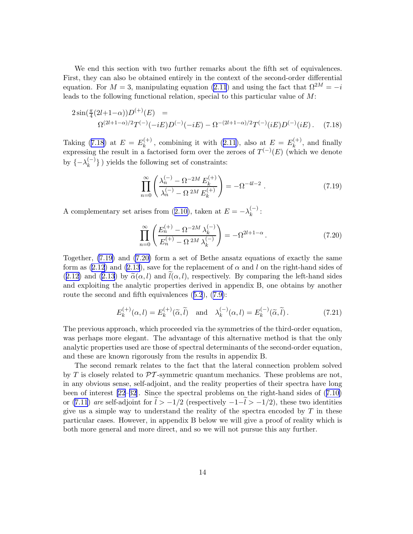<span id="page-15-0"></span>We end this section with two further remarks about the fifth set of equivalences. First, they can also be obtained entirely in the context of the second-order differential equation. For  $M = 3$ , manipulating equation [\(2.11](#page-3-0)) and using the fact that  $\Omega^{2M} = -i$ leads to the following functional relation, special to this particular value of  $M$ :

$$
2\sin(\frac{\pi}{4}(2l+1-\alpha))D^{(+)}(E) =
$$
  
 
$$
\Omega^{(2l+1-\alpha)/2}T^{(-)}(-iE)D^{(-)}(-iE) - \Omega^{-(2l+1-\alpha)/2}T^{(-)}(iE)D^{(-)}(iE).
$$
 (7.18)

Taking [\(7.18](#page-14-0)) at  $E = E_k^{(+)}$  $k_k^{(+)}$ ,combining it with ([2.11](#page-3-0)), also at  $E = E_k^{(+)}$  $\hat{k}^{(+)}$ , and finally expressing the result in a factorised form over the zeroes of  $T^{(-)}(E)$  (which we denote by  $\{-\lambda_k^{(-)}\}$  $\binom{n-1}{k}$  yields the following set of constraints:

$$
\prod_{n=0}^{\infty} \left( \frac{\lambda_n^{(-)} - \Omega^{-2M} E_k^{(+)}}{\lambda_n^{(-)} - \Omega^{2M} E_k^{(+)}} \right) = -\Omega^{-4l - 2} . \tag{7.19}
$$

Acomplementary set arises from ([2.10\)](#page-3-0), taken at  $E = -\lambda_k^{(-)}$  $\binom{(-)}{k}$ :

$$
\prod_{n=0}^{\infty} \left( \frac{E_n^{(+)} - \Omega^{-2M} \lambda_k^{(-)}}{E_n^{(+)} - \Omega^{2M} \lambda_k^{(-)}} \right) = -\Omega^{2l+1-\alpha} . \tag{7.20}
$$

Together, [\(7.19\)](#page-14-0) and [\(7.20\)](#page-14-0) form a set of Bethe ansatz equations of exactly the same form as [\(2.12](#page-3-0)) and [\(2.13](#page-3-0)), save for the replacement of  $\alpha$  and l on the right-hand sides of ([2.12](#page-3-0)) and [\(2.13](#page-3-0)) by  $\tilde{\alpha}(\alpha, l)$  and  $\tilde{l}(\alpha, l)$ , respectively. By comparing the left-hand sides and exploiting the analytic properties derived in appendix B, one obtains by another route the second and fifth equivalences([5.2](#page-8-0)),([7.9\)](#page-12-0):

$$
E_k^{(+)}(\alpha, l) = E_k^{(+)}(\widetilde{\alpha}, \widetilde{l}) \quad \text{and} \quad \lambda_k^{(-)}(\alpha, l) = E_k^{(-)}(\widetilde{\alpha}, \widetilde{l}). \tag{7.21}
$$

The previous approach, which proceeded via the symmetries of the third-order equation, was perhaps more elegant. The advantage of this alternative method is that the only analytic properties used are those of spectral determinants of the second-order equation, and these are known rigorously from the results in appendix B.

The second remark relates to the fact that the lateral connection problem solved by  $T$  is closely related to  $\mathcal{PT}$ -symmetric quantum mechanics. These problems are not, in any obvious sense, self-adjoint, and the reality properties of their spectra have long been of interest [\[22–32](#page-30-0)]. Since the spectral problems on the right-hand sides of([7.10\)](#page-12-0) or [\(7.11](#page-13-0)) are self-adjoint for  $\tilde{l} > -1/2$  (respectively  $-1-\tilde{l} > -1/2$ ), these two identities give us a simple way to understand the reality of the spectra encoded by  $T$  in these particular cases. However, in appendix B below we will give a proof of reality which is both more general and more direct, and so we will not pursue this any further.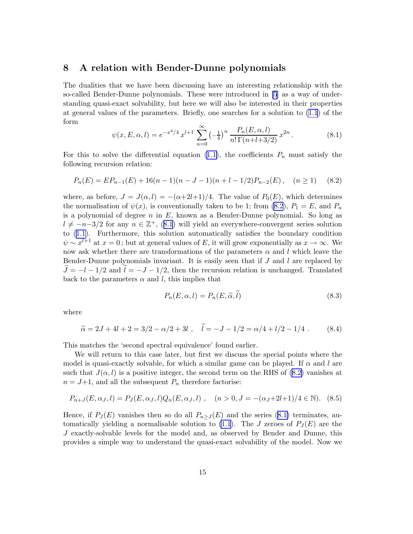#### <span id="page-16-0"></span>8 A relation with Bender-Dunne polynomials

The dualities that we have been discussing have an interesting relationship with the so-called Bender-Dunne polynomials. These were introduced in [\[5\]](#page-28-0) as a way of understanding quasi-exact solvability, but here we will also be interested in their properties at general values of the parameters. Briefly, one searches for a solution to [\(1.1](#page-1-0)) of the form

$$
\psi(x, E, \alpha, l) = e^{-x^4/4} x^{l+1} \sum_{n=0}^{\infty} \left(-\frac{1}{4}\right)^n \frac{P_n(E, \alpha, l)}{n! \Gamma(n+l+3/2)} x^{2n}.
$$
\n(8.1)

Forthis to solve the differential equation ([1.1\)](#page-1-0), the coefficients  $P_n$  must satisfy the following recursion relation:

$$
P_n(E) = E P_{n-1}(E) + 16(n-1)(n-J-1)(n+l-1/2)P_{n-2}(E), \quad (n \ge 1)
$$
 (8.2)

where, as before,  $J = J(\alpha, l) = -(\alpha + 2l + 1)/4$ . The value of  $P_0(E)$ , which determines the normalisation of  $\psi(x)$ , is conventionally taken to be 1; from [\(8.2](#page-15-0)),  $P_1 = E$ , and  $P_n$ is a polynomial of degree  $n$  in  $E$ , known as a Bender-Dunne polynomial. So long as  $l \neq -n-3/2$  $l \neq -n-3/2$  $l \neq -n-3/2$  for any  $n \in \mathbb{Z}^+$ , ([8.1](#page-15-0)) will yield an everywhere-convergent series solution to([1.1\)](#page-1-0). Furthermore, this solution automatically satisfies the boundary condition  $\psi \sim x^{l+1}$  at  $x = 0$ ; but at general values of E, it will grow exponentially as  $x \to \infty$ . We now ask whether there are transformations of the parameters  $\alpha$  and l which leave the Bender-Dunne polynomials invariant. It is easily seen that if  $J$  and  $l$  are replaced by  $J = -l - 1/2$  and  $l = -J - 1/2$ , then the recursion relation is unchanged. Translated back to the parameters  $\alpha$  and l, this implies that

$$
P_n(E, \alpha, l) = P_n(E, \tilde{\alpha}, l)
$$
\n(8.3)

where

$$
\tilde{\alpha} = 2J + 4l + 2 = 3/2 - \alpha/2 + 3l , \quad \tilde{l} = -J - 1/2 = \alpha/4 + l/2 - 1/4 . \tag{8.4}
$$

This matches the 'second spectral equivalence' found earlier.

We will return to this case later, but first we discuss the special points where the model is quasi-exactly solvable, for which a similar game can be played. If  $\alpha$  and l are such that  $J(\alpha, l)$  is a positive integer, the second term on the RHS of [\(8.2\)](#page-15-0) vanishes at  $n = J+1$ , and all the subsequent  $P_n$  therefore factorise:

$$
P_{n+J}(E,\alpha_J,l) = P_J(E,\alpha_J,l)Q_n(E,\alpha_J,l) , \quad (n>0, J = -(\alpha_J+2l+1)/4 \in \mathbb{N}).
$$
 (8.5)

Hence,if  $P_J(E)$  vanishes then so do all  $P_{n>J}(E)$  and the series ([8.1\)](#page-15-0) terminates, au-tomatically yielding a normalisable solution to [\(1.1](#page-1-0)). The J zeroes of  $P_I(E)$  are the J exactly-solvable levels for the model and, as observed by Bender and Dunne, this provides a simple way to understand the quasi-exact solvability of the model. Now we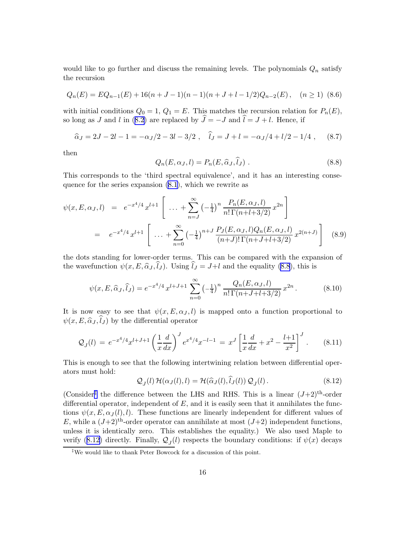<span id="page-17-0"></span>would like to go further and discuss the remaining levels. The polynomials  $Q_n$  satisfy the recursion

$$
Q_n(E) = EQ_{n-1}(E) + 16(n+J-1)(n-1)(n+J+l-1/2)Q_{n-2}(E), \quad (n \ge 1)
$$
 (8.6)

with initial conditions  $Q_0 = 1, Q_1 = E$ . This matches the recursion relation for  $P_n(E)$ , solong as J and l in ([8.2\)](#page-15-0) are replaced by  $\hat{J} = -J$  and  $\hat{l} = J + l$ . Hence, if

$$
\hat{\alpha}_J = 2J - 2l - 1 = -\alpha_J/2 - 3l - 3/2 \ , \quad \hat{l}_J = J + l = -\alpha_J/4 + l/2 - 1/4 \ , \quad (8.7)
$$

then

$$
Q_n(E, \alpha_J, l) = P_n(E, \widehat{\alpha}_J, \widehat{l}_J) . \qquad (8.8)
$$

This corresponds to the 'third spectral equivalence', and it has an interesting consequence for the series expansion [\(8.1](#page-15-0)), which we rewrite as

$$
\psi(x, E, \alpha_J, l) = e^{-x^4/4} x^{l+1} \left[ \dots + \sum_{n=J}^{\infty} \left( -\frac{1}{4} \right)^n \frac{P_n(E, \alpha_J, l)}{n! \Gamma(n+l+3/2)} x^{2n} \right]
$$
  
=  $e^{-x^4/4} x^{l+1} \left[ \dots + \sum_{n=0}^{\infty} \left( -\frac{1}{4} \right)^{n+J} \frac{P_J(E, \alpha_J, l) Q_n(E, \alpha_J, l)}{(n+J)! \Gamma(n+J+l+3/2)} x^{2(n+J)} \right]$ (8.9)

the dots standing for lower-order terms. This can be compared with the expansion of the wavefunction  $\psi(x, E, \hat{\alpha}_J, \hat{l}_J)$ . Using  $\hat{l}_J = J+l$  and the equality [\(8.8](#page-16-0)), this is

$$
\psi(x, E, \widehat{\alpha}_J, \widehat{l}_J) = e^{-x^4/4} x^{l+J+1} \sum_{n=0}^{\infty} \left(-\frac{1}{4}\right)^n \frac{Q_n(E, \alpha_J, l)}{n! \Gamma(n+J+l+3/2)} x^{2n}.
$$
 (8.10)

It is now easy to see that  $\psi(x, E, \alpha_J, l)$  is mapped onto a function proportional to  $\psi(x, E, \hat{\alpha}_J, \hat{l}_J)$  by the differential operator

$$
\mathcal{Q}_J(l) = e^{-x^4/4} x^{l+J+1} \left(\frac{1}{x} \frac{d}{dx}\right)^J e^{x^4/4} x^{-l-1} = x^J \left[\frac{1}{x} \frac{d}{dx} + x^2 - \frac{l+1}{x^2}\right]^J. \tag{8.11}
$$

This is enough to see that the following intertwining relation between differential operators must hold:

$$
\mathcal{Q}_J(l)\,\mathcal{H}(\alpha_J(l),l) = \mathcal{H}(\widehat{\alpha}_J(l),\widehat{l}_J(l))\,\mathcal{Q}_J(l)\,. \tag{8.12}
$$

(Consider<sup>†</sup> the difference between the LHS and RHS. This is a linear  $(J+2)^{\text{th}}$ -order differential operator, independent of  $E$ , and it is easily seen that it annihilates the functions  $\psi(x, E, \alpha_j(l), l)$ . These functions are linearly independent for different values of E, while a  $(J+2)$ <sup>th</sup>-order operator can annihilate at most  $(J+2)$  independent functions, unless it is identically zero. This establishes the equality.) We also used Maple to verify([8.12\)](#page-16-0) directly. Finally,  $\mathcal{Q}_J(l)$  respects the boundary conditions: if  $\psi(x)$  decays

<sup>‡</sup>We would like to thank Peter Bowcock for a discussion of this point.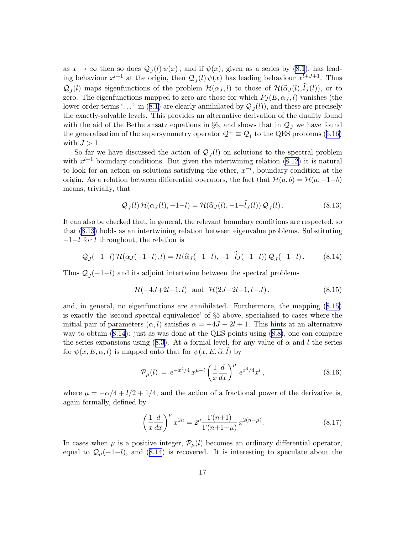<span id="page-18-0"></span>as  $x \to \infty$  then so does  $\mathcal{Q}_J(l)\psi(x)$ , and if  $\psi(x)$ , given as a series by [\(8.1](#page-15-0)), has leading behaviour  $x^{l+1}$  at the origin, then  $\mathcal{Q}_J(l)\psi(x)$  has leading behaviour  $x^{l+J+1}$ . Thus  $\mathcal{Q}_J(l)$  maps eigenfunctions of the problem  $\mathcal{H}(\alpha_J, l)$  to those of  $\mathcal{H}(\widehat{\alpha}_J(l),l_J(l))$ , or to zero. The eigenfunctions mapped to zero are those for which  $P_J(E, \alpha_J, l)$  vanishes (the lower-orderterms '...' in ([8.1\)](#page-15-0) are clearly annihilated by  $\mathcal{Q}_J(l)$ , and these are precisely the exactly-solvable levels. This provides an alternative derivation of the duality found with the aid of the Bethe ansatz equations in §6, and shows that in  $\mathcal{Q}_I$  we have found thegeneralisation of the supersymmetry operator  $\mathcal{Q}^+ \equiv \mathcal{Q}_1$  to the QES problems ([6.16\)](#page-10-0) with  $J > 1$ .

So far we have discussed the action of  $\mathcal{Q}_J(l)$  on solutions to the spectral problem with  $x^{l+1}$  boundary conditions. But given the intertwining relation [\(8.12\)](#page-16-0) it is natural to look for an action on solutions satisfying the other,  $x^{-l}$ , boundary condition at the origin. As a relation between differential operators, the fact that  $\mathcal{H}(a,b) = \mathcal{H}(a,-1-b)$ means, trivially, that

$$
\mathcal{Q}_J(l)\,\mathcal{H}(\alpha_J(l), -1-l) = \mathcal{H}(\widehat{\alpha}_J(l), -1-l_J(l))\,\mathcal{Q}_J(l). \tag{8.13}
$$

It can also be checked that, in general, the relevant boundary conditions are respected, so that [\(8.13](#page-17-0)) holds as an intertwining relation between eigenvalue problems. Substituting −1−l for l throughout, the relation is

$$
Q_J(-1-l) \mathcal{H}(\alpha_J(-1-l),l) = \mathcal{H}(\widehat{\alpha}_J(-1-l),-1-\widehat{l}_J(-1-l)) Q_J(-1-l). \tag{8.14}
$$

Thus  $Q_J(-1-l)$  and its adjoint intertwine between the spectral problems

$$
\mathcal{H}(-4J+2l+1,l)
$$
 and  $\mathcal{H}(2J+2l+1,l-J)$ , (8.15)

and, in general, no eigenfunctions are annihilated. Furthermore, the mapping([8.15\)](#page-17-0) is exactly the 'second spectral equivalence' of §5 above, specialised to cases where the initial pair of parameters  $(\alpha, l)$  satisfies  $\alpha = -4J + 2l + 1$ . This hints at an alternative way to obtain([8.14](#page-17-0)): just as was done at the QES points using([8.8\)](#page-16-0), one can compare the series expansions using [\(8.3\)](#page-15-0). At a formal level, for any value of  $\alpha$  and l the series for  $\psi(x,E,\alpha,l)$  is mapped onto that for  $\psi(x,E,\widetilde{\alpha},l)$  by

$$
\mathcal{P}_{\mu}(l) = e^{-x^4/4} x^{\mu - l} \left(\frac{1}{x} \frac{d}{dx}\right)^{\mu} e^{x^4/4} x^l, \qquad (8.16)
$$

where  $\mu = -\alpha/4 + l/2 + 1/4$ , and the action of a fractional power of the derivative is, again formally, defined by

$$
\left(\frac{1}{x}\frac{d}{dx}\right)^{\mu}x^{2n} = 2^{\mu}\frac{\Gamma(n+1)}{\Gamma(n+1-\mu)}x^{2(n-\mu)}.
$$
\n(8.17)

In cases when  $\mu$  is a positive integer,  $\mathcal{P}_{\mu}(l)$  becomes an ordinary differential operator, equal to  $\mathcal{Q}_{\mu}(-1-l)$ , and [\(8.14](#page-17-0)) is recovered. It is interesting to speculate about the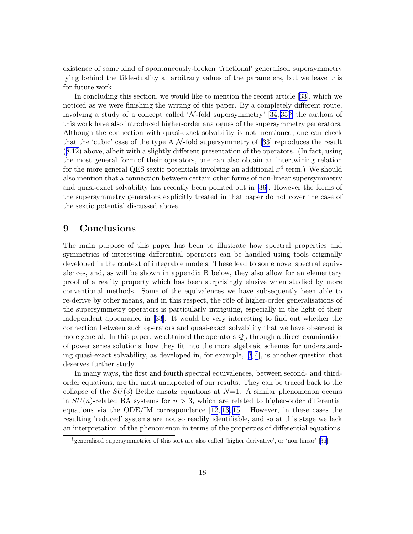existence of some kind of spontaneously-broken 'fractional' generalised supersymmetry lying behind the tilde-duality at arbitrary values of the parameters, but we leave this for future work.

In concluding this section, we would like to mention the recent article [\[33\]](#page-30-0), which we noticed as we were finishing the writing of this paper. By a completely different route, involving a study of a concept called 'N-fold supersymmetry'  $[34, 35]$  $[34, 35]$ <sup>[§](#page-18-0)</sup> the authors of this work have also introduced higher-order analogues of the supersymmetry generators. Although the connection with quasi-exact solvability is not mentioned, one can check that the 'cubic' case of the type A  $\mathcal{N}\text{-fold supersymmetry}$  of [\[33](#page-30-0)] reproduces the result ([8.12](#page-16-0)) above, albeit with a slightly different presentation of the operators. (In fact, using the most general form of their operators, one can also obtain an intertwining relation for the more general QES sextic potentials involving an additional  $x^4$  term.) We should also mention that a connection between certain other forms of non-linear supersymmetry and quasi-exact solvability has recently been pointed out in [\[36\]](#page-31-0). However the forms of the supersymmetry generators explicitly treated in that paper do not cover the case of the sextic potential discussed above.

#### 9 Conclusions

The main purpose of this paper has been to illustrate how spectral properties and symmetries of interesting differential operators can be handled using tools originally developed in the context of integrable models. These lead to some novel spectral equivalences, and, as will be shown in appendix B below, they also allow for an elementary proof of a reality property which has been surprisingly elusive when studied by more conventional methods. Some of the equivalences we have subsequently been able to re-derive by other means, and in this respect, the rôle of higher-order generalisations of the supersymmetry operators is particularly intriguing, especially in the light of their independent appearance in [\[33](#page-30-0)]. It would be very interesting to find out whether the connection between such operators and quasi-exact solvability that we have observed is more general. In this paper, we obtained the operators  $\mathcal{Q}_J$  through a direct examination of power series solutions; how they fit into the more algebraic schemes for understanding quasi-exact solvability, as developed in, for example, [[3](#page-28-0), [4](#page-28-0)], is another question that deserves further study.

In many ways, the first and fourth spectral equivalences, between second- and thirdorder equations, are the most unexpected of our results. They can be traced back to the collapse of the  $SU(3)$  Bethe ansatz equations at  $N=1$ . A similar phenomenon occurs in  $SU(n)$ -related BA systems for  $n > 3$ , which are related to higher-order differential equationsvia the ODE/IM correspondence  $[12, 13, 15]$  $[12, 13, 15]$  $[12, 13, 15]$  $[12, 13, 15]$ . However, in these cases the resulting 'reduced' systems are not so readily identifiable, and so at this stage we lack an interpretation of the phenomenon in terms of the properties of differential equations.

<sup>§</sup> generalised supersymmetries of this sort are also called 'higher-derivative', or 'non-linear' [\[36](#page-31-0)].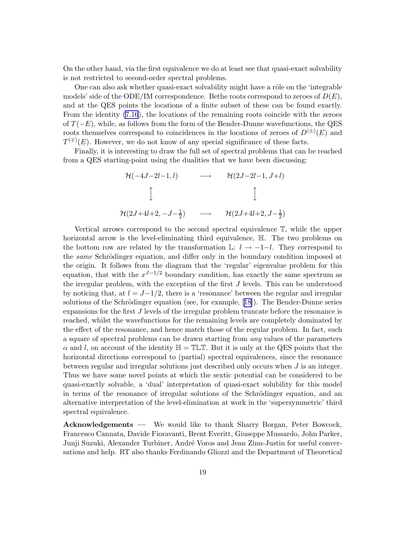On the other hand, via the first equivalence we do at least see that quasi-exact solvability is not restricted to second-order spectral problems.

One can also ask whether quasi-exact solvability might have a rôle on the 'integrable models' side of the ODE/IM correspondence. Bethe roots correspond to zeroes of  $D(E)$ , and at the QES points the locations of a finite subset of these can be found exactly. From the identity [\(7.16](#page-13-0)), the locations of the remaining roots coincide with the zeroes of  $T(-E)$ , while, as follows from the form of the Bender-Dunne wavefunctions, the QES roots themselves correspond to coincidences in the locations of zeroes of  $D^{(\pm)}(E)$  and  $T^{(\mp)}(E)$ . However, we do not know of any special significance of these facts.

Finally, it is interesting to draw the full set of spectral problems that can be reached from a QES starting-point using the dualities that we have been discussing:

$$
\begin{array}{ccc}\n\mathcal{H}(-4J-2l-1,l) & \longrightarrow & \mathcal{H}(2J-2l-1,J+l) \\
\downarrow & & \downarrow \\
\mathcal{H}(2J+4l+2,-J-\frac{1}{2}) & \longrightarrow & \mathcal{H}(2J+4l+2,J-\frac{1}{2})\n\end{array}
$$

Vertical arrows correspond to the second spectral equivalence T, while the upper horizontal arrow is the level-eliminating third equivalence, H. The two problems on the bottom row are related by the transformation  $\mathbb{L}: l \to -1-l$ . They correspond to the *same* Schrödinger equation, and differ only in the boundary condition imposed at the origin. It follows from the diagram that the 'regular' eigenvalue problem for this equation, that with the  $x^{J-1/2}$  boundary condition, has exactly the same spectrum as the irregular problem, with the exception of the first J levels. This can be understood by noticing that, at  $l = J-1/2$ , there is a 'resonance' between the regular and irregular solutionsof the Schrödinger equation (see, for example,  $[18]$  $[18]$ ). The Bender-Dunne series expansions for the first J levels of the irregular problem truncate before the resonance is reached, whilst the wavefunctions for the remaining levels are completely dominated by the effect of the resonance, and hence match those of the regular problem. In fact, such a square of spectral problems can be drawn starting from any values of the parameters  $\alpha$  and l, on account of the identity  $\mathbb{H} = \mathbb{TL} \mathbb{T}$ . But it is only at the QES points that the horizontal directions correspond to (partial) spectral equivalences, since the resonance between regular and irregular solutions just described only occurs when J is an integer. Thus we have some novel points at which the sextic potential can be considered to be quasi-exactly solvable, a 'dual' interpretation of quasi-exact solubility for this model in terms of the resonance of irregular solutions of the Schrödinger equation, and an alternative interpretation of the level-elimination at work in the 'supersymmetric' third spectral equivalence.

Acknowledgements — We would like to thank Sharry Borgan, Peter Bowcock, Francesco Cannata, Davide Fioravanti, Brent Everitt, Giuseppe Mussardo, John Parker, Junji Suzuki, Alexander Turbiner, André Voros and Jean Zinn-Justin for useful conversations and help. RT also thanks Ferdinando Gliozzi and the Department of Theoretical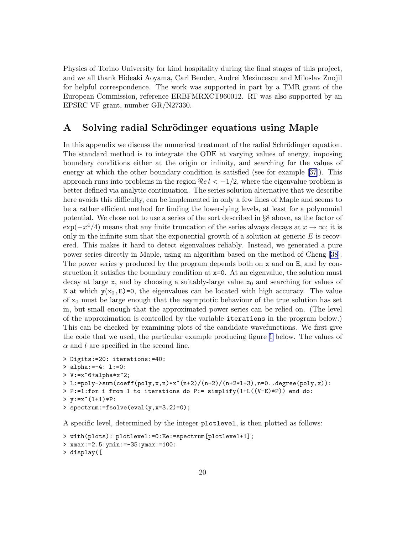<span id="page-21-0"></span>Physics of Torino University for kind hospitality during the final stages of this project, and we all thank Hideaki Aoyama, Carl Bender, Andrei Mezincescu and Miloslav Znojil for helpful correspondence. The work was supported in part by a TMR grant of the European Commission, reference ERBFMRXCT960012. RT was also supported by an EPSRC VF grant, number GR/N27330.

#### A Solving radial Schrödinger equations using Maple

In this appendix we discuss the numerical treatment of the radial Schrödinger equation. The standard method is to integrate the ODE at varying values of energy, imposing boundary conditions either at the origin or infinity, and searching for the values of energy at which the other boundary condition is satisfied (see for example[[37\]](#page-31-0)). This approach runs into problems in the region  $\Re e \ell < -1/2$ , where the eigenvalue problem is better defined via analytic continuation. The series solution alternative that we describe here avoids this difficulty, can be implemented in only a few lines of Maple and seems to be a rather efficient method for finding the lower-lying levels, at least for a polynomial potential. We chose not to use a series of the sort described in §8 above, as the factor of  $\exp(-x^4/4)$  means that any finite truncation of the series always decays at  $x \to \infty$ ; it is only in the infinite sum that the exponential growth of a solution at generic  $E$  is recovered. This makes it hard to detect eigenvalues reliably. Instead, we generated a pure power series directly in Maple, using an algorithm based on the method of Cheng [\[38](#page-31-0)]. The power series y produced by the program depends both on x and on E, and by construction it satisfies the boundary condition at x=0. At an eigenvalue, the solution must decay at large  $x$ , and by choosing a suitably-large value  $x_0$  and searching for values of E at which  $y(x_0,E)=0$ , the eigenvalues can be located with high accuracy. The value of  $x_0$  must be large enough that the asymptotic behaviour of the true solution has set in, but small enough that the approximated power series can be relied on. (The level of the approximation is controlled by the variable iterations in the program below.) This can be checked by examining plots of the candidate wavefunctions. We first give the code that we used, the particular example producing figure [1](#page-22-0) below. The values of  $\alpha$  and l are specified in the second line.

```
> Digits:=20: iterations:=40:
> alpha:=-4: l:=0:
> V:=x^6+alpha*x^2;
> L:=poly->sum(coeff(poly,x,n)*x^(n+2)/(n+2)/(n+2*l+3),n=0..degree(poly,x)):
> P:=1:for i from 1 to iterations do P:= simplify(1+L((V-E)*P)) end do:
> y := x^*(1+1)*P:> spectrum:=fsolve(eval(y,x=3.2)=0);
```
A specific level, determined by the integer plotlevel, is then plotted as follows:

```
> with(plots): plotlevel:=0:Ee:=spectrum[plotlevel+1];
> xmax:=2.5:ymin:=-35:ymax:=100:
> display([
```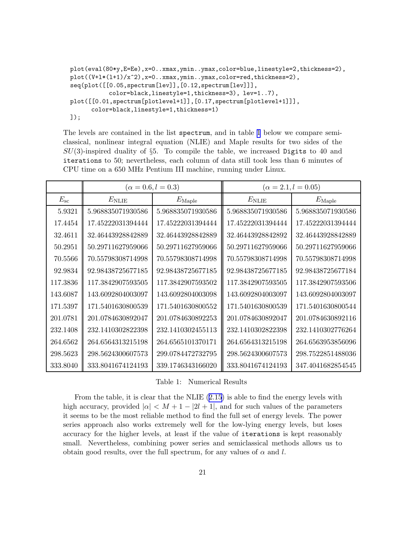```
plot(eval(80*y,E=Ee),x=0..xmax,ymin..ymax,color=blue,linestyle=2,thickness=2),
plot((V+l*(l+1)/x^2),x=0..xmax,ymin..ymax,color=red,thickness=2),
seq(plot([[0.05,spectrum[lev]],[0.12,spectrum[lev]]],
           color=black,linestyle=1,thickness=3), lev=1..7),
plot([[0.01,spectrum[plotlevel+1]],[0.17,spectrum[plotlevel+1]]],
      color=black,linestyle=1,thickness=1)
]);
```
The levels are contained in the list spectrum, and in table [1](#page-21-0) below we compare semiclassical, nonlinear integral equation (NLIE) and Maple results for two sides of the  $SU(3)$ -inspired duality of §5. To compile the table, we increased Digits to 40 and iterations to 50; nevertheless, each column of data still took less than 6 minutes of CPU time on a 650 MHz Pentium III machine, running under Linux.

|              | $(\alpha = 0.6, l = 0.3)$ |                   | $(\alpha = 2.1, l = 0.05)$ |                   |
|--------------|---------------------------|-------------------|----------------------------|-------------------|
| $E_{\rm sc}$ | $E_{\mathrm{NLIE}}$       | $E_{\rm Maple}$   | $E_{\mathrm{NLIE}}$        | $E_{\rm Maple}$   |
| 5.9321       | 5.968835071930586         | 5.968835071930586 | 5.968835071930586          | 5.968835071930586 |
| 17.4454      | 17.45222031394444         | 17.45222031394444 | 17.45222031394444          | 17.45222031394444 |
| 32.4611      | 32.46443928842889         | 32.46443928842889 | 32.46443928842892          | 32.46443928842889 |
| 50.2951      | 50.29711627959066         | 50.29711627959066 | 50.29711627959066          | 50.29711627959066 |
| 70.5566      | 70.55798308714998         | 70.55798308714998 | 70.55798308714998          | 70.55798308714998 |
| 92.9834      | 92.98438725677185         | 92.98438725677185 | 92.98438725677185          | 92.98438725677184 |
| 117.3836     | 117.3842907593505         | 117.3842907593502 | 117.3842907593505          | 117.3842907593506 |
| 143.6087     | 143.6092804003097         | 143.6092804003098 | 143.6092804003097          | 143.6092804003097 |
| 171.5397     | 171.5401630800539         | 171.5401630800552 | 171.5401630800539          | 171.5401630800544 |
| 201.0781     | 201.0784630892047         | 201.0784630892253 | 201.0784630892047          | 201.0784630892116 |
| 232.1408     | 232.1410302822398         | 232.1410302455113 | 232.1410302822398          | 232.1410302776264 |
| 264.6562     | 264.6564313215198         | 264.6565101370171 | 264.6564313215198          | 264.6563953856096 |
| 298.5623     | 298.5624300607573         | 299.0784472732795 | 298.5624300607573          | 298.7522851488036 |
| 333.8040     | 333.8041674124193         | 339.1746343166020 | 333.8041674124193          | 347.4041682854545 |

Table 1: Numerical Results

From the table, it is clear that the NLIE([2.15\)](#page-4-0) is able to find the energy levels with high accuracy, provided  $|\alpha| < M + 1 - |2l + 1|$ , and for such values of the parameters it seems to be the most reliable method to find the full set of energy levels. The power series approach also works extremely well for the low-lying energy levels, but loses accuracy for the higher levels, at least if the value of iterations is kept reasonably small. Nevertheless, combining power series and semiclassical methods allows us to obtain good results, over the full spectrum, for any values of  $\alpha$  and l.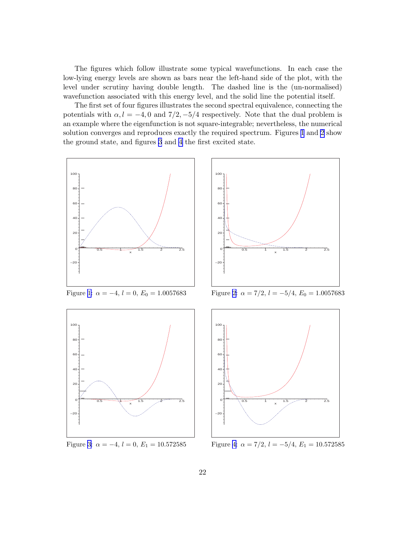<span id="page-23-0"></span>The figures which follow illustrate some typical wavefunctions. In each case the low-lying energy levels are shown as bars near the left-hand side of the plot, with the level under scrutiny having double length. The dashed line is the (un-normalised) wavefunction associated with this energy level, and the solid line the potential itself.

The first set of four figures illustrates the second spectral equivalence, connecting the potentials with  $\alpha$ ,  $l = -4$ , 0 and  $7/2$ ,  $-5/4$  respectively. Note that the dual problem is an example where the eigenfunction is not square-integrable; nevertheless, the numerical solution converges and reproduces exactly the required spectrum. Figures [1](#page-22-0) and [2](#page-22-0) show the ground state, and figures [3](#page-22-0) and [4](#page-22-0) the first excited state.







Figure [1](#page-22-0):  $\alpha = -4$ ,  $l = 0$ ,  $E_0 = 1.0057683$  Figure [2:](#page-22-0)  $\alpha = 7/2$ ,  $l = -5/4$ ,  $E_0 = 1.0057683$ 



Figure [3](#page-22-0):  $\alpha = -4$ ,  $l = 0$ ,  $E_1 = 10.572585$  Figure [4:](#page-22-0)  $\alpha = 7/2$ ,  $l = -5/4$ ,  $E_1 = 10.572585$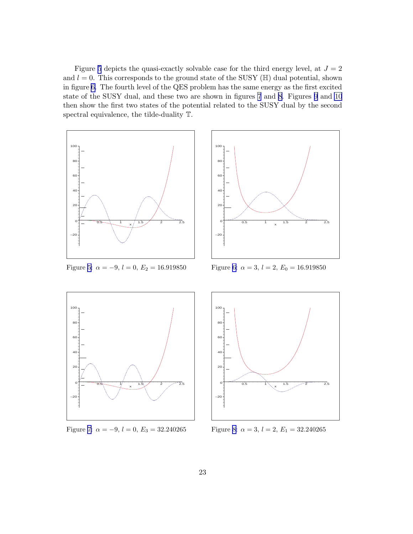<span id="page-24-0"></span>Figure [5](#page-23-0) depicts the quasi-exactly solvable case for the third energy level, at  $J = 2$ and  $l = 0$ . This corresponds to the ground state of the SUSY ( $\mathbb{H}$ ) dual potential, shown in figure [6.](#page-23-0) The fourth level of the QES problem has the same energy as the first excited state of the SUSY dual, and these two are shown in figures [7](#page-23-0) and [8](#page-23-0). Figures 9 and 10 then show the first two states of the potential related to the SUSY dual by the second spectral equivalence, the tilde-duality T.



Figure [5](#page-23-0):  $\alpha = -9$ ,  $l = 0$ ,  $E_2 = 16.919850$  Figure [6:](#page-23-0)  $\alpha = 3$ ,  $l = 2$ ,  $E_0 = 16.919850$ 





Figure [7](#page-23-0):  $\alpha = -9, l = 0, E_3 = 32.240265$  Figure [8:](#page-23-0)  $\alpha = 3, l = 2, E_1 = 32.240265$ 

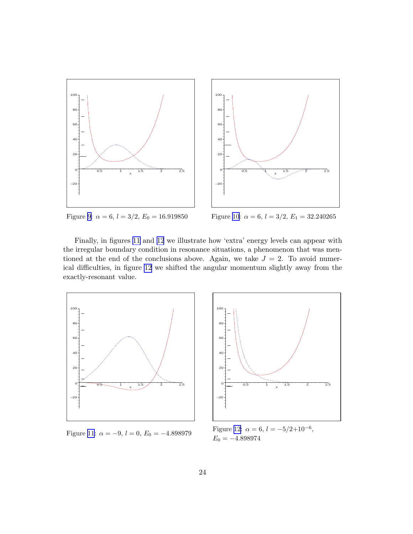<span id="page-25-0"></span>

Figure [9](#page-24-0):  $\alpha = 6$ ,  $l = 3/2$ ,  $E_0 = 16.919850$  Figure [10:](#page-24-0)  $\alpha = 6$ ,  $l = 3/2$ ,  $E_1 = 32.240265$ 

Finally, in figures [11](#page-24-0) and [12](#page-24-0) we illustrate how 'extra' energy levels can appear with the irregular boundary condition in resonance situations, a phenomenon that was mentioned at the end of the conclusions above. Again, we take  $J = 2$ . To avoid numerical difficulties, in figure [12](#page-24-0) we shifted the angular momentum slightly away from the exactly-resonant value.





Figure [11](#page-24-0):  $\alpha = -9$ ,  $l = 0$ ,  $E_0 = -4.898979$  Figure [12:](#page-24-0)  $\alpha = 6$ ,  $l = -5/2+10^{-6}$ ,  $E_0 = -4.898974$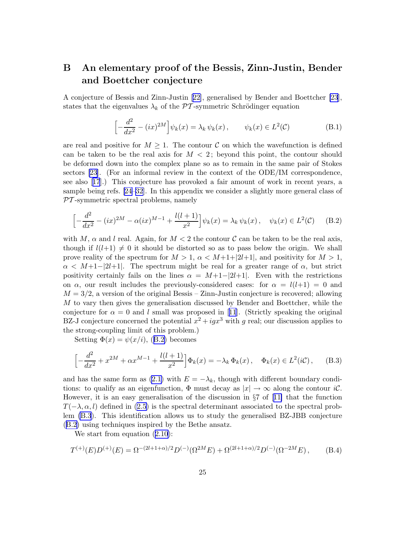#### <span id="page-26-0"></span>B An elementary proof of the Bessis, Zinn-Justin, Bender and Boettcher conjecture

A conjecture of Bessis and Zinn-Justin [\[22\]](#page-30-0), generalised by Bender and Boettcher [\[23](#page-30-0)], states that the eigenvalues  $\lambda_k$  of the PT-symmetric Schrödinger equation

$$
\left[-\frac{d^2}{dx^2} - (ix)^{2M}\right]\psi_k(x) = \lambda_k \psi_k(x), \qquad \psi_k(x) \in L^2(\mathcal{C})
$$
 (B.1)

are real and positive for  $M \geq 1$ . The contour C on which the wavefunction is defined can be taken to be the real axis for  $M < 2$ ; beyond this point, the contour should be deformed down into the complex plane so as to remain in the same pair of Stokes sectors [\[23](#page-30-0)]. (For an informal review in the context of the ODE/IM correspondence, see also[[17](#page-29-0)].) This conjecture has provoked a fair amount of work in recent years, a sample being refs.[[24–32](#page-30-0)]. In this appendix we consider a slightly more general class of  $PT$ -symmetric spectral problems, namely

$$
\left[ -\frac{d^2}{dx^2} - (ix)^{2M} - \alpha(ix)^{M-1} + \frac{l(l+1)}{x^2} \right] \psi_k(x) = \lambda_k \psi_k(x), \quad \psi_k(x) \in L^2(\mathcal{C}) \tag{B.2}
$$

with M,  $\alpha$  and l real. Again, for  $M < 2$  the contour C can be taken to be the real axis, though if  $l(l+1) \neq 0$  it should be distorted so as to pass below the origin. We shall prove reality of the spectrum for  $M > 1$ ,  $\alpha < M+1+|2l+1|$ , and positivity for  $M > 1$ ,  $\alpha \leq M+1-|2l+1|$ . The spectrum might be real for a greater range of  $\alpha$ , but strict positivity certainly fails on the lines  $\alpha = M+1-2l+1$ . Even with the restrictions on  $\alpha$ , our result includes the previously-considered cases: for  $\alpha = l(l+1) = 0$  and  $M = 3/2$ , a version of the original Bessis – Zinn-Justin conjecture is recovered; allowing M to vary then gives the generalisation discussed by Bender and Boettcher, while the conjecturefor  $\alpha = 0$  and l small was proposed in [[11](#page-29-0)]. (Strictly speaking the original BZ-J conjecture concerned the potential  $x^2 + igx^3$  with g real; our discussion applies to the strong-coupling limit of this problem.)

Setting $\Phi(x) = \psi(x/i)$ , ([B.2\)](#page-25-0) becomes

$$
\left[ -\frac{d^2}{dx^2} + x^{2M} + \alpha x^{M-1} + \frac{l(l+1)}{x^2} \right] \Phi_k(x) = -\lambda_k \Phi_k(x), \quad \Phi_k(x) \in L^2(i\mathcal{C}), \quad (B.3)
$$

and has the same form as [\(2.1\)](#page-2-0) with  $E = -\lambda_k$ , though with different boundary conditions: to qualify as an eigenfunction,  $\Phi$  must decay as  $|x| \to \infty$  along the contour  $i\mathcal{C}$ . However,it is an easy generalisation of the discussion in  $\S7$  of [[11\]](#page-29-0) that the function  $T(-\lambda, \alpha, l)$  defined in [\(2.5\)](#page-2-0) is the spectral determinant associated to the spectral problem [\(B.3](#page-25-0)). This identification allows us to study the generalised BZ-JBB conjecture ([B.2\)](#page-25-0) using techniques inspired by the Bethe ansatz.

Westart from equation  $(2.10)$  $(2.10)$  $(2.10)$ :

$$
T^{(+)}(E)D^{(+)}(E) = \Omega^{-(2l+1+\alpha)/2}D^{(-)}(\Omega^{2M}E) + \Omega^{(2l+1+\alpha)/2}D^{(-)}(\Omega^{-2M}E), \qquad (B.4)
$$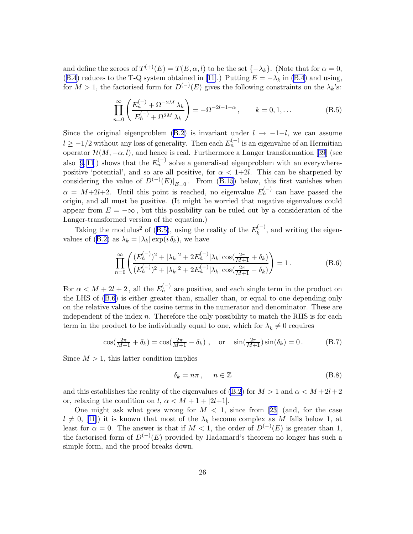<span id="page-27-0"></span>and define the zeroes of  $T^{(+)}(E) = T(E, \alpha, l)$  to be the set  $\{-\lambda_k\}$ . (Note that for  $\alpha = 0$ , ([B.4\)](#page-25-0)reduces to the T-Q system obtained in [[11\]](#page-29-0).) Putting  $E = -\lambda_k$  in [\(B.4\)](#page-25-0) and using, for  $M > 1$ , the factorised form for  $D^{(-)}(E)$  gives the following constraints on the  $\lambda_k$ 's:

$$
\prod_{n=0}^{\infty} \left( \frac{E_n^{(-)} + \Omega^{-2M} \lambda_k}{E_n^{(-)} + \Omega^{2M} \lambda_k} \right) = -\Omega^{-2l-1-\alpha}, \qquad k = 0, 1, \dots
$$
 (B.5)

Since the original eigenproblem [\(B.2](#page-25-0)) is invariant under  $l \rightarrow -1-l$ , we can assume  $l \geq -1/2$  without any loss of generality. Then each  $E_n^{(-)}$  is an eigenvalue of an Hermitian operator  $\mathcal{H}(M, -\alpha, l)$ , and hence is real. Furthermore a Langer transformation [\[39\]](#page-31-0) (see also[9,11]) shows that the  $E_n^{(-)}$  solve a generalised eigenproblem with an everywherepositive 'potential', and so are all positive, for  $\alpha < 1+2l$ . This can be sharpened by considering the value of  $D^{(-)}(E)|_{E=0}$ . From (B.15) below, this first vanishes when  $\alpha = M+2l+2$ . Until this point is reached, no eigenvalue  $E_n^{(-)}$  can have passed the origin, and all must be positive. (It might be worried that negative eigenvalues could appear from  $E = -\infty$ , but this possibility can be ruled out by a consideration of the Langer-transformed version of the equation.)

Takingthe modulus<sup>2</sup> of ([B.5\)](#page-26-0), using the reality of the  $E_k^{(-)}$  $\binom{n-1}{k}$ , and writing the eigen-valuesof ([B.2\)](#page-25-0) as  $\lambda_k = |\lambda_k| \exp(i \delta_k)$ , we have

$$
\prod_{n=0}^{\infty} \left( \frac{(E_n^{(-)})^2 + |\lambda_k|^2 + 2E_n^{(-)}|\lambda_k| \cos(\frac{2\pi}{M+1} + \delta_k)}{(E_n^{(-)})^2 + |\lambda_k|^2 + 2E_n^{(-)}|\lambda_k| \cos(\frac{2\pi}{M+1} - \delta_k)} \right) = 1.
$$
\n(B.6)

For  $\alpha < M + 2l + 2$ , all the  $E_n^{(-)}$  are positive, and each single term in the product on the LHS of [\(B.6](#page-26-0)) is either greater than, smaller than, or equal to one depending only on the relative values of the cosine terms in the numerator and denominator. These are independent of the index  $n$ . Therefore the only possibility to match the RHS is for each term in the product to be individually equal to one, which for  $\lambda_k \neq 0$  requires

$$
\cos(\frac{2\pi}{M+1} + \delta_k) = \cos(\frac{2\pi}{M+1} - \delta_k), \text{ or } \sin(\frac{2\pi}{M+1})\sin(\delta_k) = 0.
$$
 (B.7)

Since  $M > 1$ , this latter condition implies

$$
\delta_k = n\pi \,, \qquad n \in \mathbb{Z} \tag{B.8}
$$

and this establishes the reality of the eigenvalues of [\(B.2](#page-25-0)) for  $M > 1$  and  $\alpha < M + 2l + 2$ or, relaxing the condition on l,  $\alpha < M + 1 + |2l+1|$ .

Onemight ask what goes wrong for  $M < 1$ , since from [[23\]](#page-30-0) (and, for the case  $l \neq 0$  $l \neq 0$  $l \neq 0$ , [[11\]](#page-29-0)) it is known that most of the  $\lambda_k$  become complex as M falls below 1, at least for  $\alpha = 0$ . The answer is that if  $M < 1$ , the order of  $D^{(-)}(E)$  is greater than 1, the factorised form of  $D^{(-)}(E)$  provided by Hadamard's theorem no longer has such a simple form, and the proof breaks down.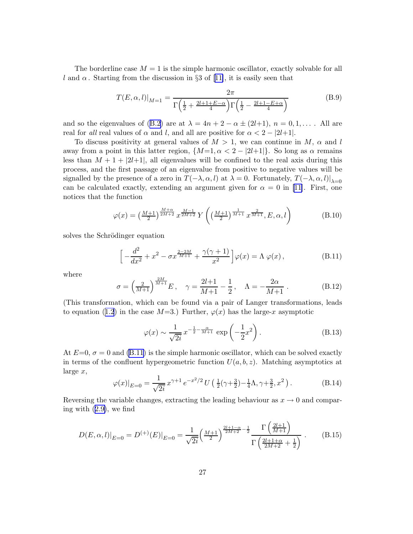<span id="page-28-0"></span>The borderline case  $M = 1$  is the simple harmonic oscillator, exactly solvable for all land  $\alpha$ . Starting from the discussion in §3 of [[11\]](#page-29-0), it is easily seen that

$$
T(E, \alpha, l)|_{M=1} = \frac{2\pi}{\Gamma(\frac{1}{2} + \frac{2l+1+E-\alpha}{4})\Gamma(\frac{1}{2} - \frac{2l+1-E+\alpha}{4})}
$$
(B.9)

and so the eigenvalues of [\(B.2](#page-25-0)) are at  $\lambda = 4n + 2 - \alpha \pm (2l+1), n = 0, 1, \ldots$ . All are real for all real values of  $\alpha$  and l, and all are positive for  $\alpha < 2 - |2l+1|$ .

To discuss positivity at general values of  $M > 1$ , we can continue in M,  $\alpha$  and l away from a point in this latter region,  $\{M=1, \alpha < 2 - |2l+1|\}$ . So long as  $\alpha$  remains less than  $M + 1 + |2l+1|$ , all eigenvalues will be confined to the real axis during this process, and the first passage of an eigenvalue from positive to negative values will be signalled by the presence of a zero in  $T(-\lambda, \alpha, l)$  at  $\lambda = 0$ . Fortunately,  $T(-\lambda, \alpha, l)|_{\lambda=0}$ can be calculated exactly, extending an argument given for  $\alpha = 0$  in [\[11](#page-29-0)]. First, one notices that the function

$$
\varphi(x) = \left(\frac{M+1}{2}\right)^{\frac{M+\alpha}{2M+2}} x^{\frac{M-1}{2M+2}} Y\left(\left(\frac{M+1}{2}\right)^{\frac{1}{M+1}} x^{\frac{2}{M+1}}, E, \alpha, l\right)
$$
(B.10)

solves the Schrödinger equation

$$
\[ -\frac{d^2}{dx^2} + x^2 - \sigma x^{\frac{2-2M}{M+1}} + \frac{\gamma(\gamma+1)}{x^2} \] \varphi(x) = \Lambda \, \varphi(x) \,, \tag{B.11}
$$

where

$$
\sigma = \left(\frac{2}{M+1}\right)^{\frac{2M}{M+1}} E, \quad \gamma = \frac{2l+1}{M+1} - \frac{1}{2}, \quad \Lambda = -\frac{2\alpha}{M+1} . \tag{B.12}
$$

(This transformation, which can be found via a pair of Langer transformations, leads toequation ([1.2](#page-1-0)) in the case  $M=3$ .) Further,  $\varphi(x)$  has the large-x asymptotic

$$
\varphi(x) \sim \frac{1}{\sqrt{2i}} x^{-\frac{1}{2} - \frac{\alpha}{M+1}} \exp\left(-\frac{1}{2}x^2\right).
$$
 (B.13)

At  $E=0$ ,  $\sigma=0$  and [\(B.11\)](#page-27-0) is the simple harmonic oscillator, which can be solved exactly in terms of the confluent hypergeometric function  $U(a, b, z)$ . Matching asymptotics at large x,

$$
\varphi(x)|_{E=0} = \frac{1}{\sqrt{2i}} x^{\gamma+1} e^{-x^2/2} U\left(\frac{1}{2}(\gamma+\frac{3}{2}) - \frac{1}{4}\Lambda, \gamma+\frac{3}{2}, x^2\right).
$$
 (B.14)

Reversing the variable changes, extracting the leading behaviour as  $x \to 0$  and comparing with([2.9\)](#page-3-0), we find

$$
D(E, \alpha, l)|_{E=0} = D^{(+)}(E)|_{E=0} = \frac{1}{\sqrt{2i}} \left(\frac{M+1}{2}\right)^{\frac{2l+1-\alpha}{2M+2} - \frac{1}{2}} \frac{\Gamma\left(\frac{2l+1}{M+1}\right)}{\Gamma\left(\frac{2l+1+\alpha}{2M+2} + \frac{1}{2}\right)} .
$$
 (B.15)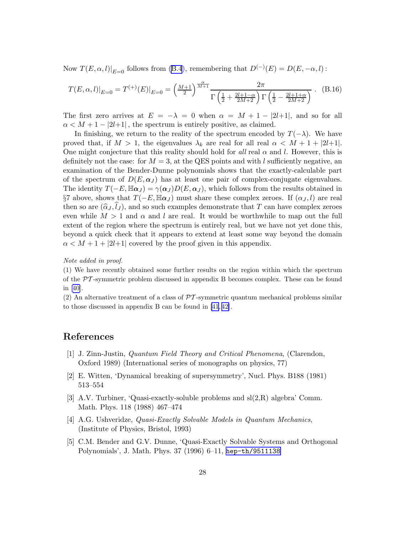<span id="page-29-0"></span>Now  $T(E, \alpha, l)|_{E=0}$  follows from [\(B.4](#page-25-0)), remembering that  $D^{(-)}(E) = D(E, -\alpha, l)$ :

$$
T(E, \alpha, l)|_{E=0} = T^{(+)}(E)|_{E=0} = \left(\frac{M+1}{2}\right)^{\frac{\alpha}{M+1}} \frac{2\pi}{\Gamma\left(\frac{1}{2} + \frac{2l+1-\alpha}{2M+2}\right)\Gamma\left(\frac{1}{2} - \frac{2l+1+\alpha}{2M+2}\right)}.
$$
 (B.16)

The first zero arrives at  $E = -\lambda = 0$  when  $\alpha = M + 1 - |2l+1|$ , and so for all  $\alpha < M + 1 - |2l+1|$ , the spectrum is entirely positive, as claimed.

In finishing, we return to the reality of the spectrum encoded by  $T(-\lambda)$ . We have proved that, if  $M > 1$ , the eigenvalues  $\lambda_k$  are real for all real  $\alpha < M + 1 + |2l+1|$ . One might conjecture that this reality should hold for all real  $\alpha$  and l. However, this is definitely not the case: for  $M = 3$ , at the QES points and with l sufficiently negative, an examination of the Bender-Dunne polynomials shows that the exactly-calculable part of the spectrum of  $D(E, \alpha_I)$  has at least one pair of complex-conjugate eigenvalues. The identity  $T(-E, \mathbb{H}\alpha_J) = \gamma(\alpha_J)D(E, \alpha_J)$ , which follows from the results obtained in §7 above, shows that  $T(-E, \mathbb{H}\alpha_J)$  must share these complex zeroes. If  $(\alpha_J, l)$  are real then so are  $(\hat{\alpha}_J, l_J)$ , and so such examples demonstrate that T can have complex zeroes even while  $M > 1$  and  $\alpha$  and l are real. It would be worthwhile to map out the full extent of the region where the spectrum is entirely real, but we have not yet done this, beyond a quick check that it appears to extend at least some way beyond the domain  $\alpha < M + 1 + |2l+1|$  covered by the proof given in this appendix.

#### Note added in proof.

(1) We have recently obtained some further results on the region within which the spectrum of the  $\mathcal{P}T$ -symmetric problem discussed in appendix B becomes complex. These can be found in[[40\]](#page-31-0).

(2) An alternative treatment of a class of  $\mathcal{P}\mathcal{T}$ -symmetric quantum mechanical problems similar to those discussed in appendix B can be found in [\[41](#page-31-0), [42\]](#page-31-0).

#### References

- [1] J. Zinn-Justin, Quantum Field Theory and Critical Phenomena, (Clarendon, Oxford 1989) (International series of monographs on physics, 77)
- [2] E. Witten, 'Dynamical breaking of supersymmetry', Nucl. Phys. B188 (1981) 513–554
- [3] A.V. Turbiner, 'Quasi-exactly-soluble problems and sl(2,R) algebra' Comm. Math. Phys. 118 (1988) 467–474
- [4] A.G. Ushveridze, Quasi-Exactly Solvable Models in Quantum Mechanics, (Institute of Physics, Bristol, 1993)
- [5] C.M. Bender and G.V. Dunne, 'Quasi-Exactly Solvable Systems and Orthogonal Polynomials', J. Math. Phys. 37 (1996) 6–11, [hep-th/9511138](http://arXiv.org/abs/hep-th/9511138)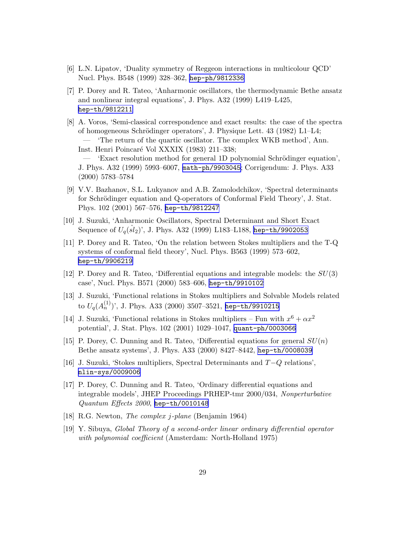- <span id="page-30-0"></span>[6] L.N. Lipatov, 'Duality symmetry of Reggeon interactions in multicolour QCD' Nucl. Phys. B548 (1999) 328–362, [hep-ph/9812336](http://arXiv.org/abs/hep-ph/9812336)
- [7] P. Dorey and R. Tateo, 'Anharmonic oscillators, the thermodynamic Bethe ansatz and nonlinear integral equations', J. Phys. A32 (1999) L419–L425, [hep-th/9812211](http://arXiv.org/abs/hep-th/9812211)
- [8] A. Voros, 'Semi-classical correspondence and exact results: the case of the spectra of homogeneous Schrödinger operators', J. Physique Lett. 43 (1982) L1–L4; — 'The return of the quartic oscillator. The complex WKB method', Ann. Inst. Henri Poincaré Vol XXXIX (1983) 211–338; — 'Exact resolution method for general 1D polynomial Schrödinger equation', J. Phys. A32 (1999) 5993–6007, [math-ph/9903045](http://arXiv.org/abs/math-ph/9903045); Corrigendum: J. Phys. A33 (2000) 5783–5784
- [9] V.V. Bazhanov, S.L. Lukyanov and A.B. Zamolodchikov, 'Spectral determinants for Schrödinger equation and Q-operators of Conformal Field Theory', J. Stat. Phys. 102 (2001) 567–576, [hep-th/9812247](http://arXiv.org/abs/hep-th/9812247)
- [10] J. Suzuki, 'Anharmonic Oscillators, Spectral Determinant and Short Exact Sequence of  $U_q(\hat{sl}_2)$ ', J. Phys. A32 (1999) L183–L188, [hep-th/9902053](http://arXiv.org/abs/hep-th/9902053)
- [11] P. Dorey and R. Tateo, 'On the relation between Stokes multipliers and the T-Q systems of conformal field theory', Nucl. Phys. B563 (1999) 573–602, [hep-th/9906219](http://arXiv.org/abs/hep-th/9906219)
- [12] P. Dorey and R. Tateo, 'Differential equations and integrable models: the  $SU(3)$ case', Nucl. Phys. B571 (2000) 583–606, [hep-th/9910102](http://arXiv.org/abs/hep-th/9910102)
- [13] J. Suzuki, 'Functional relations in Stokes multipliers and Solvable Models related to  $U_q(A_n^{(1)})'$ , J. Phys. A33 (2000) 3507–3521, <code>[hep-th/9910215](http://arXiv.org/abs/hep-th/9910215)</code>
- [14] J. Suzuki, 'Functional relations in Stokes multipliers Fun with  $x^6 + \alpha x^2$ potential', J. Stat. Phys. 102 (2001) 1029–1047, [quant-ph/0003066](http://arXiv.org/abs/quant-ph/0003066)
- [15] P. Dorey, C. Dunning and R. Tateo, 'Differential equations for general  $SU(n)$ Bethe ansatz systems', J. Phys. A33 (2000) 8427–8442, [hep-th/0008039](http://arXiv.org/abs/hep-th/0008039)
- [16] J. Suzuki, 'Stokes multipliers, Spectral Determinants and T−Q relations', [nlin-sys/0009006](http://arXiv.org/abs/nlin-sys/0009006)
- [17] P. Dorey, C. Dunning and R. Tateo, 'Ordinary differential equations and integrable models', JHEP Proceedings PRHEP-tmr 2000/034, Nonperturbative Quantum Effects 2000, [hep-th/0010148](http://arXiv.org/abs/hep-th/0010148)
- [18] R.G. Newton, The complex j-plane (Benjamin 1964)
- [19] Y. Sibuya, Global Theory of a second-order linear ordinary differential operator with polynomial coefficient (Amsterdam: North-Holland 1975)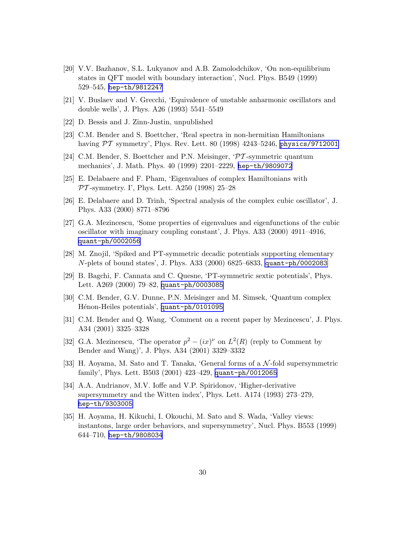- <span id="page-31-0"></span>[20] V.V. Bazhanov, S.L. Lukyanov and A.B. Zamolodchikov, 'On non-equilibrium states in QFT model with boundary interaction', Nucl. Phys. B549 (1999) 529–545, [hep-th/9812247](http://arXiv.org/abs/hep-th/9812247)
- [21] V. Buslaev and V. Grecchi, 'Equivalence of unstable anharmonic oscillators and double wells', J. Phys. A26 (1993) 5541–5549
- [22] D. Bessis and J. Zinn-Justin, unpublished
- [23] C.M. Bender and S. Boettcher, 'Real spectra in non-hermitian Hamiltonians having  $\overline{PT}$  symmetry', Phys. Rev. Lett. 80 (1998) 4243-5246, [physics/9712001](http://arXiv.org/abs/physics/9712001)
- [24] C.M. Bender, S. Boettcher and P.N. Meisinger, 'PT -symmetric quantum mechanics', J. Math. Phys. 40 (1999) 2201–2229, [hep-th/9809072](http://arXiv.org/abs/hep-th/9809072)
- [25] E. Delabaere and F. Pham, 'Eigenvalues of complex Hamiltonians with  $PT$ -symmetry. I', Phys. Lett. A250 (1998) 25–28
- [26] E. Delabaere and D. Trinh, 'Spectral analysis of the complex cubic oscillator', J. Phys. A33 (2000) 8771–8796
- [27] G.A. Mezincescu, 'Some properties of eigenvalues and eigenfunctions of the cubic oscillator with imaginary coupling constant', J. Phys. A33 (2000) 4911–4916, [quant-ph/0002056](http://arXiv.org/abs/quant-ph/0002056)
- [28] M. Znojil, 'Spiked and PT-symmetric decadic potentials supporting elementary N-plets of bound states', J. Phys. A33 (2000) 6825–6833, [quant-ph/0002083](http://arXiv.org/abs/quant-ph/0002083)
- [29] B. Bagchi, F. Cannata and C. Quesne, 'PT-symmetric sextic potentials', Phys. Lett. A269 (2000) 79–82, [quant-ph/0003085](http://arXiv.org/abs/quant-ph/0003085)
- [30] C.M. Bender, G.V. Dunne, P.N. Meisinger and M. Simsek, 'Quantum complex Hénon-Heiles potentials', [quant-ph/0101095](http://arXiv.org/abs/quant-ph/0101095)
- [31] C.M. Bender and Q. Wang, 'Comment on a recent paper by Mezincescu', J. Phys. A34 (2001) 3325–3328
- [32] G.A. Mezincescu, 'The operator  $p^2 (ix)^{\nu}$  on  $L^2(R)$  (reply to Comment by Bender and Wang)', J. Phys. A34 (2001) 3329–3332
- [33] H. Aoyama, M. Sato and T. Tanaka, 'General forms of a N -fold supersymmetric family', Phys. Lett. B503 (2001) 423–429, [quant-ph/0012065](http://arXiv.org/abs/quant-ph/0012065)
- [34] A.A. Andrianov, M.V. Ioffe and V.P. Spiridonov, 'Higher-derivative supersymmetry and the Witten index', Phys. Lett. A174 (1993) 273–279, [hep-th/9303005](http://arXiv.org/abs/hep-th/9303005)
- [35] H. Aoyama, H. Kikuchi, I. Okouchi, M. Sato and S. Wada, 'Valley views: instantons, large order behaviors, and supersymmetry', Nucl. Phys. B553 (1999) 644–710, [hep-th/9808034](http://arXiv.org/abs/hep-th/9808034)